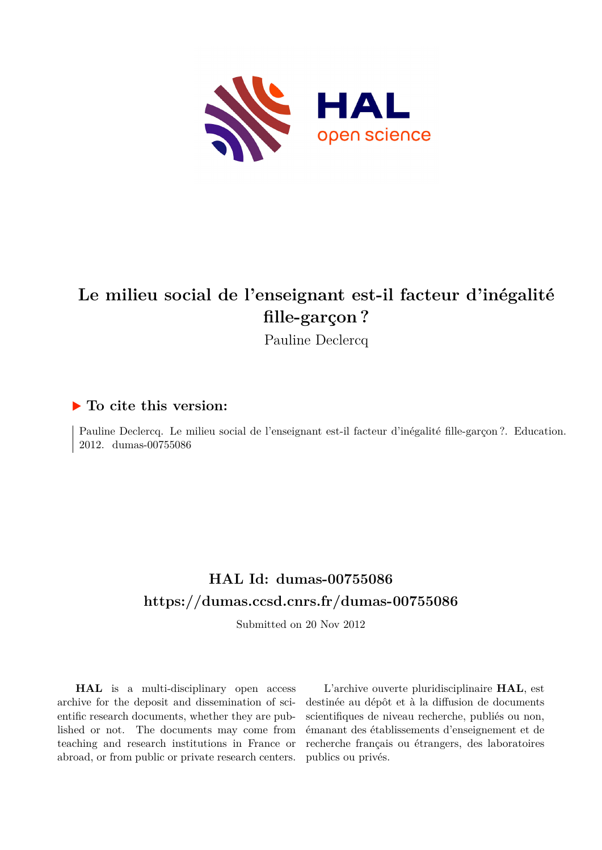

# **Le milieu social de l'enseignant est-il facteur d'inégalité fille-garçon ?**

Pauline Declercq

## **To cite this version:**

Pauline Declercq. Le milieu social de l'enseignant est-il facteur d'inégalité fille-garçon ?. Education. 2012. dumas-00755086

# **HAL Id: dumas-00755086 <https://dumas.ccsd.cnrs.fr/dumas-00755086>**

Submitted on 20 Nov 2012

**HAL** is a multi-disciplinary open access archive for the deposit and dissemination of scientific research documents, whether they are published or not. The documents may come from teaching and research institutions in France or abroad, or from public or private research centers.

L'archive ouverte pluridisciplinaire **HAL**, est destinée au dépôt et à la diffusion de documents scientifiques de niveau recherche, publiés ou non, émanant des établissements d'enseignement et de recherche français ou étrangers, des laboratoires publics ou privés.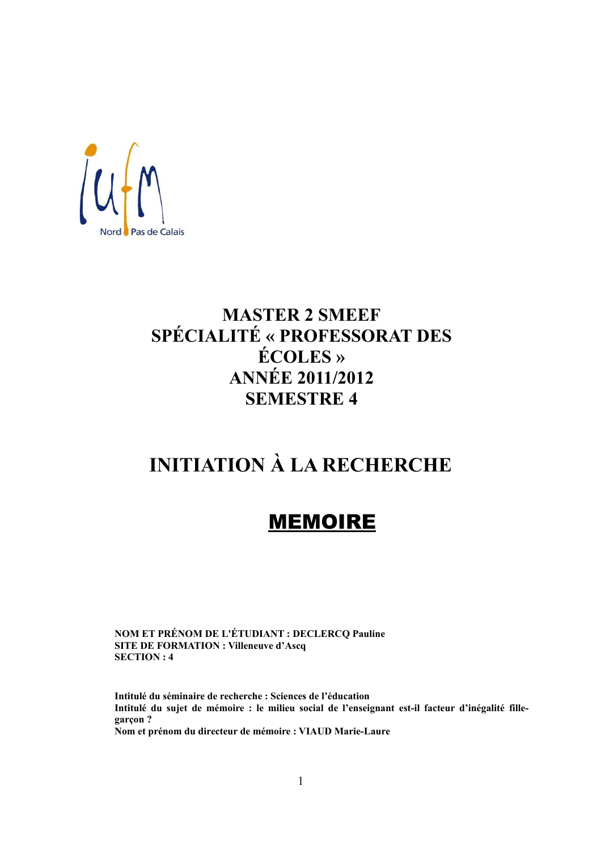

# **MASTER 2 SMEEF** SPÉCIALITÉ « PROFESSORAT DES **ÉCOLES** » **ANNÉE 2011/2012 SEMESTRE 4**

# **INITIATION À LA RECHERCHE**

# **MEMOIRE**

NOM ET PRÉNOM DE L'ÉTUDIANT : DECLERCQ Pauline **SITE DE FORMATION : Villeneuve d'Ascq SECTION: 4** 

Intitulé du séminaire de recherche : Sciences de l'éducation Intitulé du sujet de mémoire : le milieu social de l'enseignant est-il facteur d'inégalité fillegarçon? Nom et prénom du directeur de mémoire : VIAUD Marie-Laure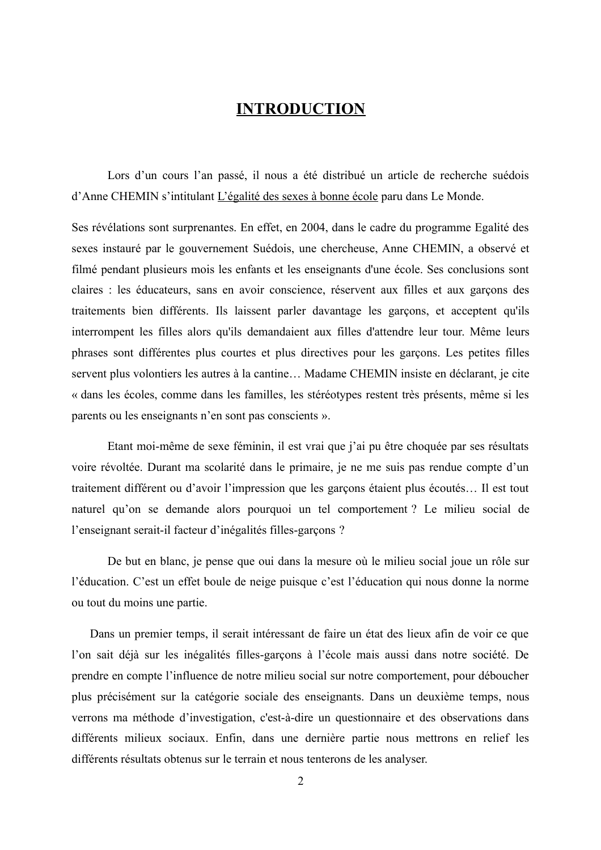## **INTRODUCTION**

Lors d'un cours l'an passé, il nous a été distribué un article de recherche suédois d'Anne CHEMIN s'intitulant L'égalité des sexes à bonne école paru dans Le Monde.

Ses révélations sont surprenantes. En effet, en 2004, dans le cadre du programme Egalité des sexes instauré par le gouvernement Suédois, une chercheuse, Anne CHEMIN, a observé et filmé pendant plusieurs mois les enfants et les enseignants d'une école. Ses conclusions sont claires : les éducateurs, sans en avoir conscience, réservent aux filles et aux garçons des traitements bien différents. Ils laissent parler davantage les garçons, et acceptent qu'ils interrompent les filles alors qu'ils demandaient aux filles d'attendre leur tour. Même leurs phrases sont différentes plus courtes et plus directives pour les garçons. Les petites filles servent plus volontiers les autres à la cantine... Madame CHEMIN insiste en déclarant, je cite « dans les écoles, comme dans les familles, les stéréotypes restent très présents, même si les parents ou les enseignants n'en sont pas conscients ».

Etant moi-même de sexe féminin, il est vrai que j'ai pu être choquée par ses résultats voire révoltée. Durant ma scolarité dans le primaire, je ne me suis pas rendue compte d'un traitement différent ou d'avoir l'impression que les garçons étaient plus écoutés... Il est tout naturel qu'on se demande alors pourquoi un tel comportement ? Le milieu social de l'enseignant serait-il facteur d'inégalités filles-garçons ?

De but en blanc, je pense que oui dans la mesure où le milieu social joue un rôle sur l'éducation. C'est un effet boule de neige puisque c'est l'éducation qui nous donne la norme ou tout du moins une partie.

Dans un premier temps, il serait intéressant de faire un état des lieux afin de voir ce que l'on sait déjà sur les inégalités filles-garçons à l'école mais aussi dans notre société. De prendre en compte l'influence de notre milieu social sur notre comportement, pour déboucher plus précisément sur la catégorie sociale des enseignants. Dans un deuxième temps, nous verrons ma méthode d'investigation, c'est-à-dire un questionnaire et des observations dans différents milieux sociaux. Enfin, dans une dernière partie nous mettrons en relief les différents résultats obtenus sur le terrain et nous tenterons de les analyser.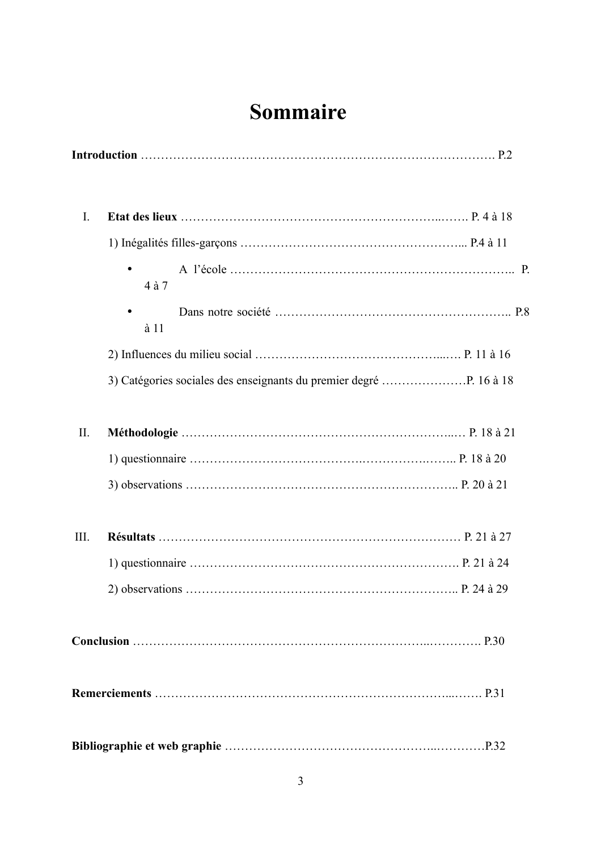# Sommaire

| I.  |              |  |
|-----|--------------|--|
|     |              |  |
|     | 4 à 7        |  |
|     | $\lambda$ 11 |  |
|     |              |  |
|     |              |  |
| II. |              |  |
|     |              |  |
|     |              |  |
| Ш.  |              |  |
|     |              |  |
|     |              |  |
|     |              |  |
|     |              |  |
|     |              |  |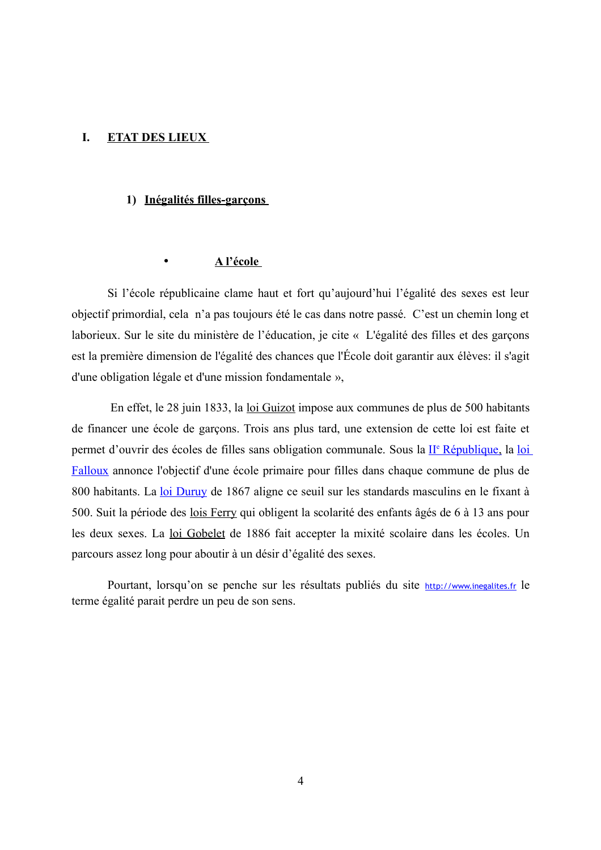#### $\mathbf{I}$ . **ETAT DES LIEUX**

#### 1) Inégalités filles-garçons

#### A l'école  $\bullet$

Si l'école républicaine clame haut et fort qu'aujourd'hui l'égalité des sexes est leur objectif primordial, cela n'a pas toujours été le cas dans notre passé. C'est un chemin long et laborieux. Sur le site du ministère de l'éducation, je cite « L'égalité des filles et des garçons est la première dimension de l'égalité des chances que l'École doit garantir aux élèves: il s'agit d'une obligation légale et d'une mission fondamentale »,

En effet, le 28 juin 1833, la loi Guizot impose aux communes de plus de 500 habitants de financer une école de garçons. Trois ans plus tard, une extension de cette loi est faite et permet d'ouvrir des écoles de filles sans obligation communale. Sous la II<sup>e</sup> République, la loi Falloux annonce l'objectif d'une école primaire pour filles dans chaque commune de plus de 800 habitants. La loi Duruy de 1867 aligne ce seuil sur les standards masculins en le fixant à 500. Suit la période des lois Ferry qui obligent la scolarité des enfants âgés de 6 à 13 ans pour les deux sexes. La loi Gobelet de 1886 fait accepter la mixité scolaire dans les écoles. Un parcours assez long pour aboutir à un désir d'égalité des sexes.

Pourtant, lorsqu'on se penche sur les résultats publiés du site http://www.inegalites.fr le terme égalité parait perdre un peu de son sens.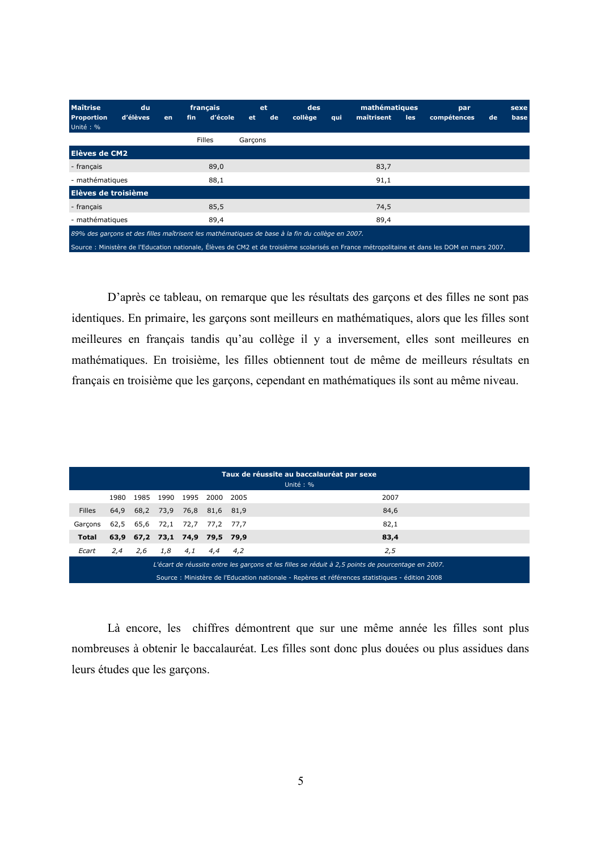| <b>Maîtrise</b><br><b>Proportion</b><br>Unité: %                                                | du<br>d'élèves | en | fin | français<br>d'école | <b>et</b> | <b>et</b><br>de | des<br>collège | qui | mathématiques<br>maîtrisent | les | par<br>compétences                                                                                                                           | de | sexe<br>base |
|-------------------------------------------------------------------------------------------------|----------------|----|-----|---------------------|-----------|-----------------|----------------|-----|-----------------------------|-----|----------------------------------------------------------------------------------------------------------------------------------------------|----|--------------|
|                                                                                                 |                |    |     | <b>Filles</b>       | Garcons   |                 |                |     |                             |     |                                                                                                                                              |    |              |
| Elèves de CM2                                                                                   |                |    |     |                     |           |                 |                |     |                             |     |                                                                                                                                              |    |              |
| - français                                                                                      |                |    |     | 89,0                |           |                 |                |     | 83,7                        |     |                                                                                                                                              |    |              |
| - mathématiques                                                                                 |                |    |     | 88,1                |           |                 |                |     | 91,1                        |     |                                                                                                                                              |    |              |
| Elèves de troisième                                                                             |                |    |     |                     |           |                 |                |     |                             |     |                                                                                                                                              |    |              |
| - français                                                                                      |                |    |     | 85,5                |           |                 |                |     | 74,5                        |     |                                                                                                                                              |    |              |
| - mathématiques                                                                                 |                |    |     | 89,4                |           |                 |                |     | 89,4                        |     |                                                                                                                                              |    |              |
| 89% des garçons et des filles maîtrisent les mathématiques de base à la fin du collège en 2007. |                |    |     |                     |           |                 |                |     |                             |     |                                                                                                                                              |    |              |
|                                                                                                 |                |    |     |                     |           |                 |                |     |                             |     | Source : Ministère de l'Education nationale, Élèves de CM2 et de troisième scolarisés en France métropolitaine et dans les DOM en mars 2007. |    |              |

D'après ce tableau, on remarque que les résultats des garçons et des filles ne sont pas identiques. En primaire, les garçons sont meilleurs en mathématiques, alors que les filles sont meilleures en français tandis qu'au collège il y a inversement, elles sont meilleures en mathématiques. En troisième, les filles obtiennent tout de même de meilleurs résultats en français en troisième que les garçons, cependant en mathématiques ils sont au même niveau.

|                                                                                                    | Taux de réussite au baccalauréat par sexe<br>Unité: %                                           |  |  |                          |  |  |      |  |  |
|----------------------------------------------------------------------------------------------------|-------------------------------------------------------------------------------------------------|--|--|--------------------------|--|--|------|--|--|
|                                                                                                    | 1980                                                                                            |  |  | 1985 1990 1995 2000 2005 |  |  | 2007 |  |  |
| <b>Filles</b>                                                                                      | 64,9                                                                                            |  |  | 68,2 73,9 76,8 81,6 81,9 |  |  | 84,6 |  |  |
| Garcons                                                                                            | 82,1<br>65,6 72,1 72,7 77,2 77,7<br>62,5                                                        |  |  |                          |  |  |      |  |  |
| <b>Total</b>                                                                                       | 63,9 67,2 73,1 74,9 79,5 79,9<br>83,4                                                           |  |  |                          |  |  |      |  |  |
| Ecart                                                                                              | 2,5<br>4,1<br>2,6<br>1,8<br>4,4<br>4.2<br>2,4                                                   |  |  |                          |  |  |      |  |  |
| L'écart de réussite entre les garçons et les filles se réduit à 2,5 points de pourcentage en 2007. |                                                                                                 |  |  |                          |  |  |      |  |  |
|                                                                                                    | Source : Ministère de l'Education nationale - Repères et références statistiques - édition 2008 |  |  |                          |  |  |      |  |  |

Là encore, les chiffres démontrent que sur une même année les filles sont plus nombreuses à obtenir le baccalauréat. Les filles sont donc plus douées ou plus assidues dans leurs études que les garçons.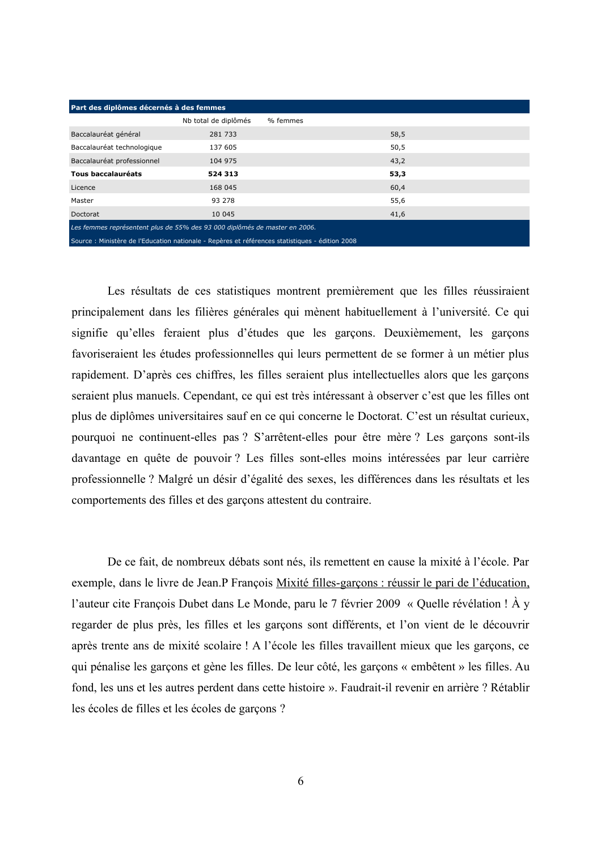| Part des diplômes décernés à des femmes                                    |                                                                                            |          |  |      |  |  |  |
|----------------------------------------------------------------------------|--------------------------------------------------------------------------------------------|----------|--|------|--|--|--|
|                                                                            | Nb total de diplômés                                                                       | % femmes |  |      |  |  |  |
| Baccalauréat général                                                       | 281 733                                                                                    |          |  | 58,5 |  |  |  |
| Baccalauréat technologique                                                 | 137 605                                                                                    |          |  | 50,5 |  |  |  |
| Baccalauréat professionnel                                                 | 104 975                                                                                    |          |  | 43,2 |  |  |  |
| Tous baccalauréats                                                         | 524 313                                                                                    |          |  | 53,3 |  |  |  |
| Licence                                                                    | 168 045                                                                                    |          |  | 60,4 |  |  |  |
| Master                                                                     | 93 278                                                                                     |          |  | 55,6 |  |  |  |
| Doctorat                                                                   | 10 045                                                                                     |          |  | 41,6 |  |  |  |
| Les femmes représentent plus de 55% des 93 000 diplômés de master en 2006. |                                                                                            |          |  |      |  |  |  |
|                                                                            | Connect Michaels de Brancelos selosele - Besluce de Silice de deliberación - L'altres hono |          |  |      |  |  |  |

Les résultats de ces statistiques montrent premièrement que les filles réussiraient principalement dans les filières générales qui mènent habituellement à l'université. Ce qui signifie qu'elles feraient plus d'études que les garçons. Deuxièmement, les garçons favoriseraient les études professionnelles qui leurs permettent de se former à un métier plus rapidement. D'après ces chiffres, les filles seraient plus intellectuelles alors que les garçons seraient plus manuels. Cependant, ce qui est très intéressant à observer c'est que les filles ont plus de diplômes universitaires sauf en ce qui concerne le Doctorat. C'est un résultat curieux. pourquoi ne continuent-elles pas ? S'arrêtent-elles pour être mère ? Les garçons sont-ils davantage en quête de pouvoir? Les filles sont-elles moins intéressées par leur carrière professionnelle ? Malgré un désir d'égalité des sexes, les différences dans les résultats et les comportements des filles et des garçons attestent du contraire.

De ce fait, de nombreux débats sont nés, ils remettent en cause la mixité à l'école. Par exemple, dans le livre de Jean. P François Mixité filles-garçons : réussir le pari de l'éducation, l'auteur cite François Dubet dans Le Monde, paru le 7 février 2009 « Quelle révélation ! À y regarder de plus près, les filles et les garçons sont différents, et l'on vient de le découvrir après trente ans de mixité scolaire ! A l'école les filles travaillent mieux que les garçons, ce qui pénalise les garçons et gène les filles. De leur côté, les garçons « embêtent » les filles. Au fond, les uns et les autres perdent dans cette histoire ». Faudrait-il revenir en arrière ? Rétablir les écoles de filles et les écoles de garçons ?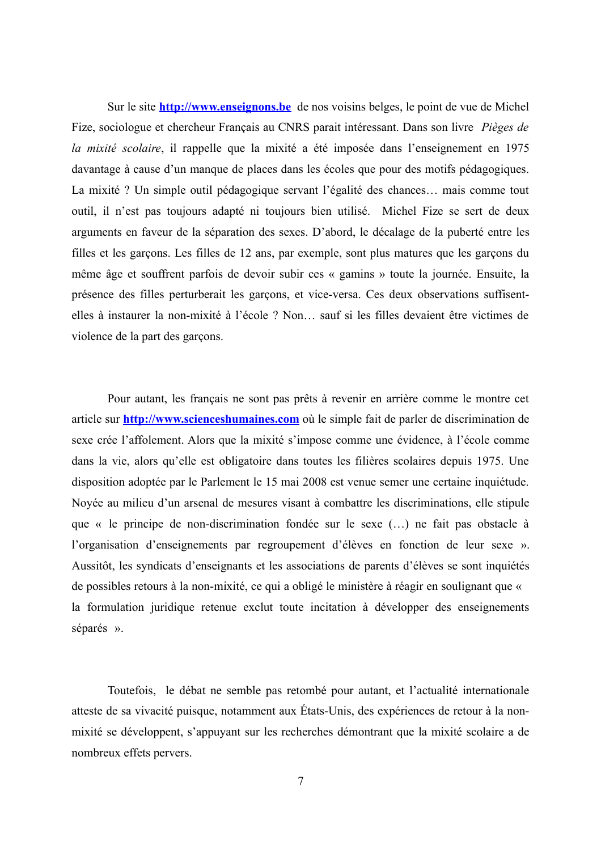Sur le site **http://www.enseignons.be** de nos voisins belges, le point de vue de Michel Fize, sociologue et chercheur Français au CNRS parait intéressant. Dans son livre Pièges de la mixité scolaire, il rappelle que la mixité a été imposée dans l'enseignement en 1975 davantage à cause d'un manque de places dans les écoles que pour des motifs pédagogiques. La mixité? Un simple outil pédagogique servant l'égalité des chances... mais comme tout outil, il n'est pas toujours adapté ni toujours bien utilisé. Michel Fize se sert de deux arguments en faveur de la séparation des sexes. D'abord, le décalage de la puberté entre les filles et les garçons. Les filles de 12 ans, par exemple, sont plus matures que les garçons du même âge et souffrent parfois de devoir subir ces « gamins » toute la journée. Ensuite, la présence des filles perturberait les garçons, et vice-versa. Ces deux observations suffisentelles à instaurer la non-mixité à l'école ? Non... sauf si les filles devaient être victimes de violence de la part des garçons.

Pour autant, les français ne sont pas prêts à revenir en arrière comme le montre cet article sur **http://www.scienceshumaines.com** où le simple fait de parler de discrimination de sexe crée l'affolement. Alors que la mixité s'impose comme une évidence, à l'école comme dans la vie, alors qu'elle est obligatoire dans toutes les filières scolaires depuis 1975. Une disposition adoptée par le Parlement le 15 mai 2008 est venue semer une certaine inquiétude. Noyée au milieu d'un arsenal de mesures visant à combattre les discriminations, elle stipule que « le principe de non-discrimination fondée sur le sexe (...) ne fait pas obstacle à l'organisation d'enseignements par regroupement d'élèves en fonction de leur sexe ». Aussitôt, les syndicats d'enseignants et les associations de parents d'élèves se sont inquiétés de possibles retours à la non-mixité, ce qui a obligé le ministère à réagir en soulignant que « la formulation juridique retenue exclut toute incitation à développer des enseignements séparés ».

Toutefois, le débat ne semble pas retombé pour autant, et l'actualité internationale atteste de sa vivacité puisque, notamment aux États-Unis, des expériences de retour à la nonmixité se développent, s'appuyant sur les recherches démontrant que la mixité scolaire a de nombreux effets pervers.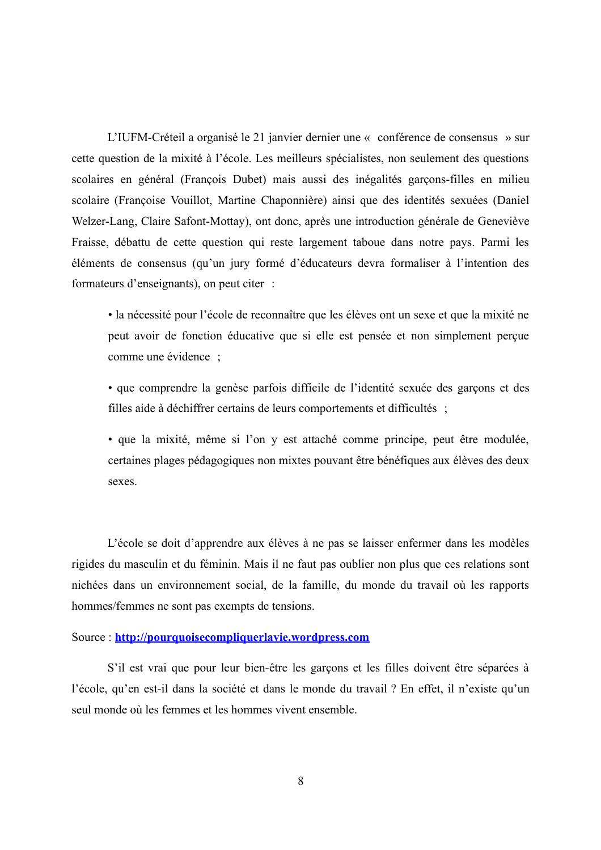L'IUFM-Créteil a organisé le 21 janvier dernier une « conférence de consensus » sur cette question de la mixité à l'école. Les meilleurs spécialistes, non seulement des questions scolaires en général (François Dubet) mais aussi des inégalités garçons-filles en milieu scolaire (Françoise Vouillot, Martine Chaponnière) ainsi que des identités sexuées (Daniel Welzer-Lang, Claire Safont-Mottay), ont donc, après une introduction générale de Geneviève Fraisse, débattu de cette question qui reste largement taboue dans notre pays. Parmi les éléments de consensus (qu'un jury formé d'éducateurs devra formaliser à l'intention des formateurs d'enseignants), on peut citer :

· la nécessité pour l'école de reconnaître que les élèves ont un sexe et que la mixité ne peut avoir de fonction éducative que si elle est pensée et non simplement perçue comme une évidence :

• que comprendre la genèse parfois difficile de l'identité sexuée des garçons et des filles aide à déchiffrer certains de leurs comportements et difficultés;

· que la mixité, même si l'on y est attaché comme principe, peut être modulée, certaines plages pédagogiques non mixtes pouvant être bénéfiques aux élèves des deux sexes.

L'école se doit d'apprendre aux élèves à ne pas se laisser enfermer dans les modèles rigides du masculin et du féminin. Mais il ne faut pas oublier non plus que ces relations sont nichées dans un environnement social, de la famille, du monde du travail où les rapports hommes/femmes ne sont pas exempts de tensions.

#### Source: http://pourquoisecompliquerlavie.wordpress.com

S'il est vrai que pour leur bien-être les garçons et les filles doivent être séparées à l'école, qu'en est-il dans la société et dans le monde du travail ? En effet, il n'existe qu'un seul monde où les femmes et les hommes vivent ensemble.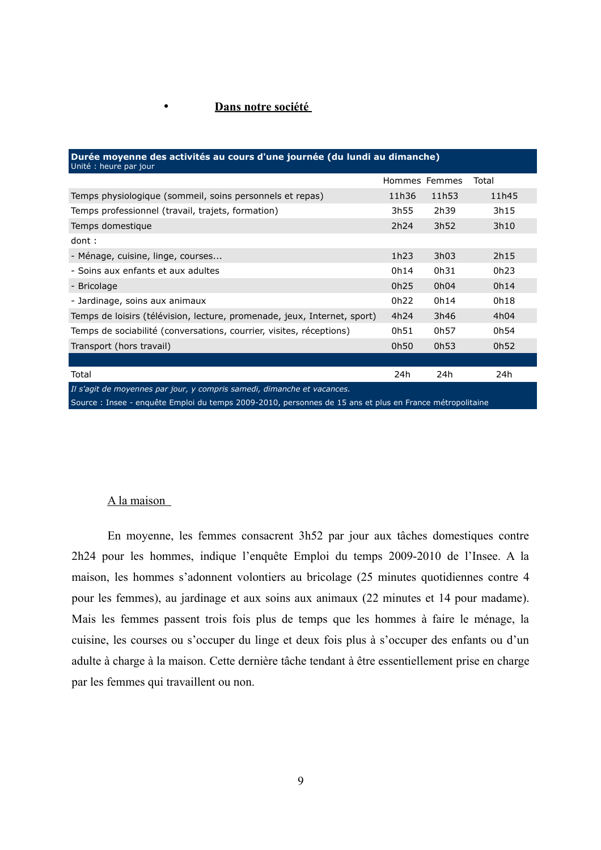#### Dans notre société

 $\bullet$ 

| Durée moyenne des activités au cours d'une journée (du lundi au dimanche)<br>Unité : heure par jour                                                                                                                                   |                  |       |       |  |  |  |  |  |
|---------------------------------------------------------------------------------------------------------------------------------------------------------------------------------------------------------------------------------------|------------------|-------|-------|--|--|--|--|--|
|                                                                                                                                                                                                                                       | Hommes Femmes    |       | Total |  |  |  |  |  |
| Temps physiologique (sommeil, soins personnels et repas)                                                                                                                                                                              | 11h36            | 11h53 | 11h45 |  |  |  |  |  |
| Temps professionnel (travail, trajets, formation)                                                                                                                                                                                     | 3h55             | 2h39  | 3h15  |  |  |  |  |  |
| Temps domestique                                                                                                                                                                                                                      | 2h <sub>24</sub> | 3h52  | 3h10  |  |  |  |  |  |
| dont:                                                                                                                                                                                                                                 |                  |       |       |  |  |  |  |  |
| - Ménage, cuisine, linge, courses                                                                                                                                                                                                     | 1h23             | 3h03  | 2h15  |  |  |  |  |  |
| - Soins aux enfants et aux adultes                                                                                                                                                                                                    | 0h14             | 0h31  | 0h23  |  |  |  |  |  |
| - Bricolage                                                                                                                                                                                                                           | 0h25             | 0h04  | 0h14  |  |  |  |  |  |
| - Jardinage, soins aux animaux                                                                                                                                                                                                        | 0h22             | 0h14  | 0h18  |  |  |  |  |  |
| Temps de loisirs (télévision, lecture, promenade, jeux, Internet, sport)                                                                                                                                                              | 4h24             | 3h46  | 4h04  |  |  |  |  |  |
| Temps de sociabilité (conversations, courrier, visites, réceptions)                                                                                                                                                                   | 0h51             | 0h57  | 0h54  |  |  |  |  |  |
| Transport (hors travail)                                                                                                                                                                                                              | 0h50             | 0h53  | 0h52  |  |  |  |  |  |
|                                                                                                                                                                                                                                       |                  |       |       |  |  |  |  |  |
| Total                                                                                                                                                                                                                                 | 24h              | 24h   | 24h   |  |  |  |  |  |
| Il s'agit de moyennes par jour, y compris samedi, dimanche et vacances.                                                                                                                                                               |                  |       |       |  |  |  |  |  |
| $\alpha$ , the $\alpha$ is the set of the second contract of the set of the set of the set of the set of the set of the set of the set of the set of the set of the set of the set of the set of the set of the set of the set of the |                  |       |       |  |  |  |  |  |

Source: Insee enquête Emploi du temps 2009-2010, personnes de 15 ans et plus en France métropolitaine

#### A la maison

En moyenne, les femmes consacrent 3h52 par jour aux tâches domestiques contre 2h24 pour les hommes, indique l'enquête Emploi du temps 2009-2010 de l'Insee. A la maison, les hommes s'adonnent volontiers au bricolage (25 minutes quotidiennes contre 4 pour les femmes), au jardinage et aux soins aux animaux (22 minutes et 14 pour madame). Mais les femmes passent trois fois plus de temps que les hommes à faire le ménage, la cuisine, les courses ou s'occuper du linge et deux fois plus à s'occuper des enfants ou d'un adulte à charge à la maison. Cette dernière tâche tendant à être essentiellement prise en charge par les femmes qui travaillent ou non.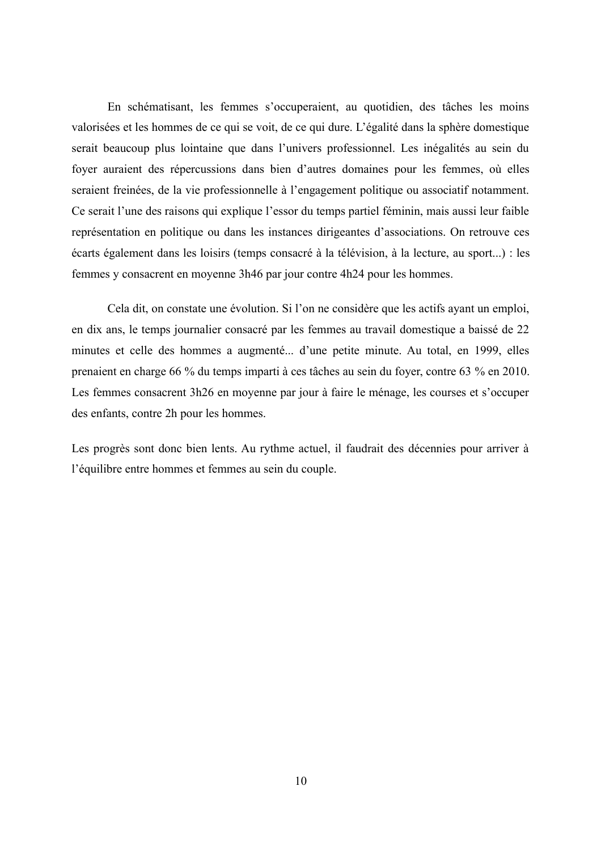En schématisant, les femmes s'occuperaient, au quotidien, des tâches les moins valorisées et les hommes de ce qui se voit, de ce qui dure. L'égalité dans la sphère domestique serait beaucoup plus lointaine que dans l'univers professionnel. Les inégalités au sein du foyer auraient des répercussions dans bien d'autres domaines pour les femmes, où elles seraient freinées, de la vie professionnelle à l'engagement politique ou associatif notamment. Ce serait l'une des raisons qui explique l'essor du temps partiel féminin, mais aussi leur faible représentation en politique ou dans les instances dirigeantes d'associations. On retrouve ces écarts également dans les loisirs (temps consacré à la télévision, à la lecture, au sport...) : les femmes y consacrent en moyenne 3h46 par jour contre 4h24 pour les hommes.

Cela dit, on constate une évolution. Si l'on ne considère que les actifs ayant un emploi, en dix ans, le temps journalier consacré par les femmes au travail domestique a baissé de 22 minutes et celle des hommes a augmenté... d'une petite minute. Au total, en 1999, elles prenaient en charge 66 % du temps imparti à ces tâches au sein du foyer, contre 63 % en 2010. Les femmes consacrent 3h26 en moyenne par jour à faire le ménage, les courses et s'occuper des enfants, contre 2h pour les hommes.

Les progrès sont donc bien lents. Au rythme actuel, il faudrait des décennies pour arriver à l'équilibre entre hommes et femmes au sein du couple.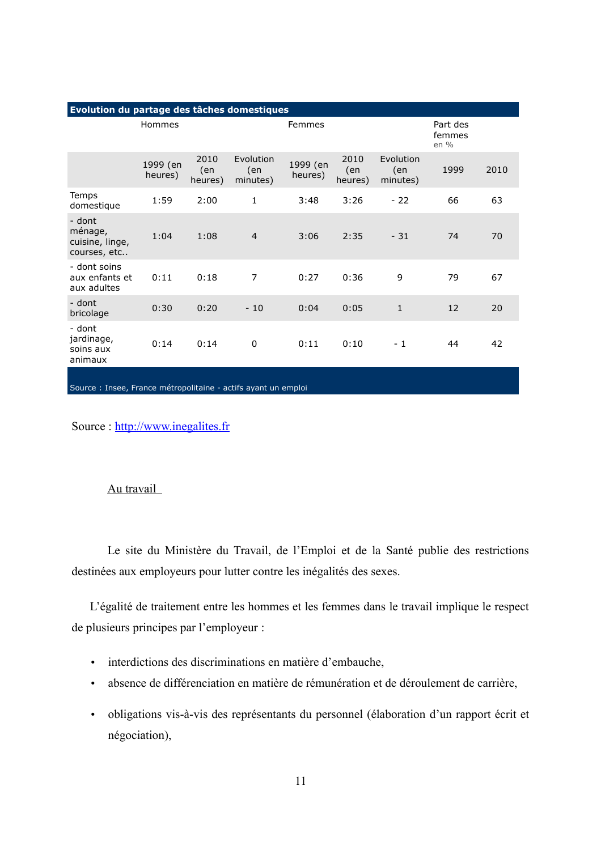| Evolution du partage des tâches domestiques          |                     |                        |                              |                     |                        |                              |                            |      |
|------------------------------------------------------|---------------------|------------------------|------------------------------|---------------------|------------------------|------------------------------|----------------------------|------|
|                                                      | Hommes              |                        |                              | Femmes              |                        |                              | Part des<br>femmes<br>en % |      |
|                                                      | 1999 (en<br>heures) | 2010<br>(en<br>heures) | Evolution<br>(en<br>minutes) | 1999 (en<br>heures) | 2010<br>(en<br>heures) | Evolution<br>(en<br>minutes) | 1999                       | 2010 |
| Temps<br>domestique                                  | 1:59                | 2:00                   | 1                            | 3:48                | 3:26                   | $-22$                        | 66                         | 63   |
| - dont<br>ménage,<br>cuisine, linge,<br>courses, etc | 1:04                | 1:08                   | $\overline{4}$               | 3:06                | 2:35                   | $-31$                        | 74                         | 70   |
| - dont soins<br>aux enfants et<br>aux adultes        | 0:11                | 0:18                   | $\overline{7}$               | 0:27                | 0:36                   | 9                            | 79                         | 67   |
| - dont<br>bricolage                                  | 0:30                | 0:20                   | $-10$                        | 0:04                | 0:05                   | $\mathbf{1}$                 | 12                         | 20   |
| - dont<br>jardinage,<br>soins aux<br>animaux         | 0:14                | 0:14                   | 0                            | 0:11                | 0:10                   | - 1                          | 44                         | 42   |
|                                                      |                     |                        |                              |                     |                        |                              |                            |      |

Source : Insee, France métropolitaine - actifs ayant un emploi

Source: http://www.inegalites.fr

#### Au travail

Le site du Ministère du Travail, de l'Emploi et de la Santé publie des restrictions destinées aux employeurs pour lutter contre les inégalités des sexes.

L'égalité de traitement entre les hommes et les femmes dans le travail implique le respect de plusieurs principes par l'employeur :

- · interdictions des discriminations en matière d'embauche,
- absence de différenciation en matière de rémunération et de déroulement de carrière,  $\bullet$
- · obligations vis-à-vis des représentants du personnel (élaboration d'un rapport écrit et négociation),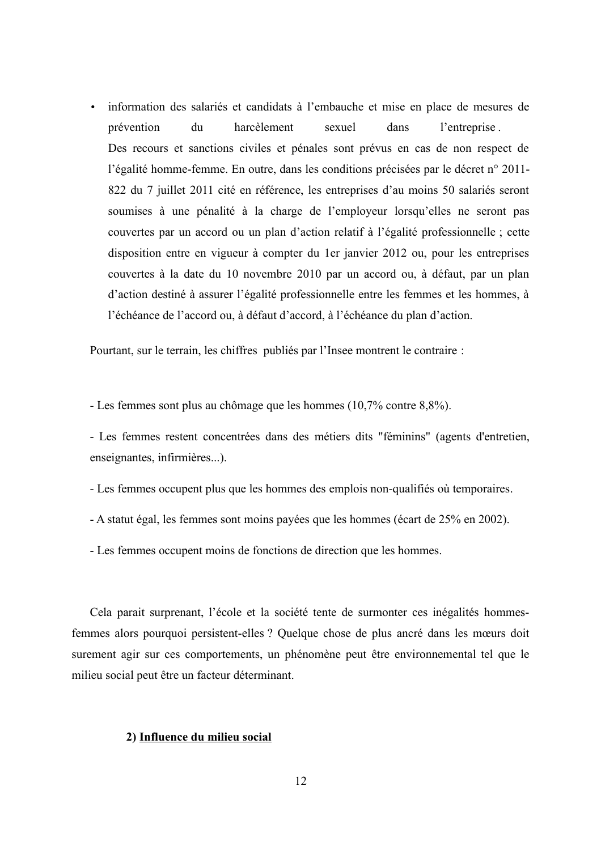· information des salariés et candidats à l'embauche et mise en place de mesures de prévention du harcèlement sexuel dans l'entreprise. Des recours et sanctions civiles et pénales sont prévus en cas de non respect de l'égalité homme-femme. En outre, dans les conditions précisées par le décret n° 2011-822 du 7 juillet 2011 cité en référence, les entreprises d'au moins 50 salariés seront soumises à une pénalité à la charge de l'employeur lorsqu'elles ne seront pas couvertes par un accord ou un plan d'action relatif à l'égalité professionnelle; cette disposition entre en vigueur à compter du 1 er janvier 2012 ou, pour les entreprises couvertes à la date du 10 novembre 2010 par un accord ou, à défaut, par un plan d'action destiné à assurer l'égalité professionnelle entre les femmes et les hommes, à l'échéance de l'accord ou, à défaut d'accord, à l'échéance du plan d'action.

Pourtant, sur le terrain, les chiffres publiés par l'Insee montrent le contraire :

- Les femmes sont plus au chômage que les hommes (10,7% contre 8,8%).

- Les femmes restent concentrées dans des métiers dits "féminins" (agents d'entretien, enseignantes, infirmières...).

- Les femmes occupent plus que les hommes des emplois non-qualifiés où temporaires.

- A statut égal, les femmes sont moins payées que les hommes (écart de 25% en 2002).

- Les femmes occupent moins de fonctions de direction que les hommes.

Cela parait surprenant, l'école et la société tente de surmonter ces inégalités hommesfemmes alors pourquoi persistent-elles ? Quelque chose de plus ancré dans les mœurs doit surement agir sur ces comportements, un phénomène peut être environnemental tel que le milieu social peut être un facteur déterminant.

#### 2) Influence du milieu social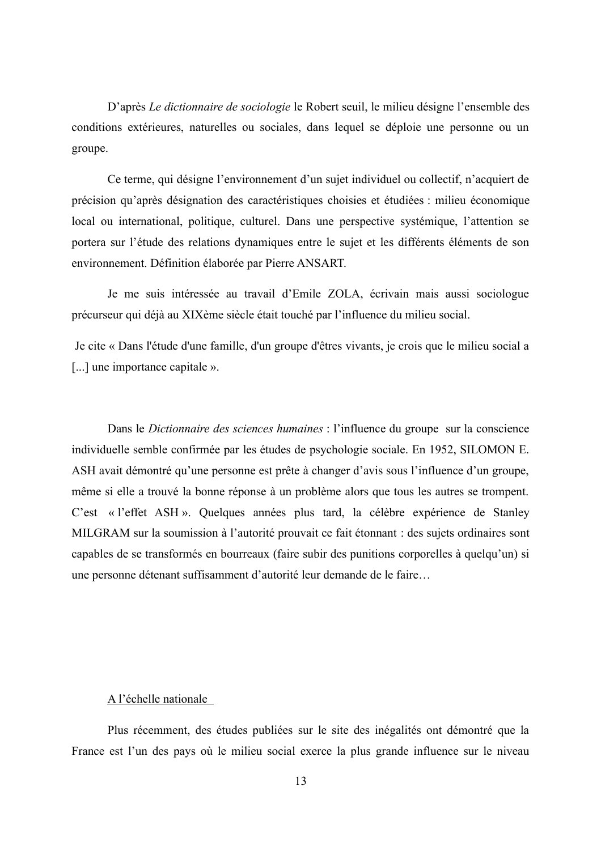D'après Le dictionnaire de sociologie le Robert seuil, le milieu désigne l'ensemble des conditions extérieures, naturelles ou sociales, dans lequel se déploie une personne ou un groupe.

Ce terme, qui désigne l'environnement d'un sujet individuel ou collectif, n'acquiert de précision qu'après désignation des caractéristiques choisies et étudiées : milieu économique local ou international, politique, culturel. Dans une perspective systémique, l'attention se portera sur l'étude des relations dynamiques entre le sujet et les différents éléments de son environnement. Définition élaborée par Pierre ANSART.

Je me suis intéressée au travail d'Emile ZOLA, écrivain mais aussi sociologue précurseur qui déjà au XIXème siècle était touché par l'influence du milieu social.

Je cite « Dans l'étude d'une famille, d'un groupe d'êtres vivants, je crois que le milieu social a [...] une importance capitale ».

Dans le Dictionnaire des sciences humaines : l'influence du groupe sur la conscience individuelle semble confirmée par les études de psychologie sociale. En 1952, SILOMON E. ASH avait démontré qu'une personne est prête à changer d'avis sous l'influence d'un groupe, même si elle a trouvé la bonne réponse à un problème alors que tous les autres se trompent. C'est « l'effet ASH ». Quelques années plus tard, la célèbre expérience de Stanley MILGRAM sur la soumission à l'autorité prouvait ce fait étonnant : des sujets ordinaires sont capables de se transformés en bourreaux (faire subir des punitions corporelles à quelqu'un) si une personne détenant suffisamment d'autorité leur demande de le faire...

#### A l'échelle nationale

Plus récemment, des études publiées sur le site des inégalités ont démontré que la France est l'un des pays où le milieu social exerce la plus grande influence sur le niveau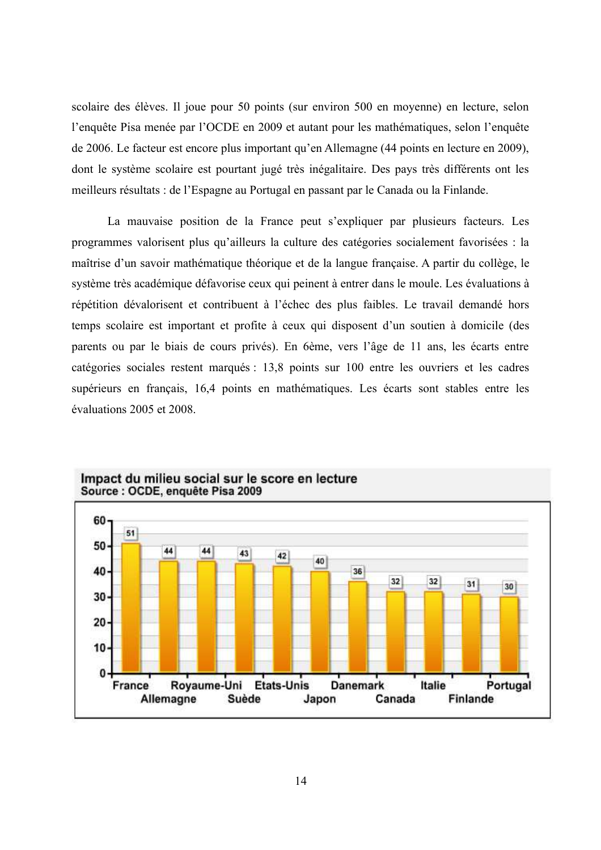scolaire des élèves. Il joue pour 50 points (sur environ 500 en moyenne) en lecture, selon l'enquête Pisa menée par l'OCDE en 2009 et autant pour les mathématiques, selon l'enquête de 2006. Le facteur est encore plus important qu'en Allemagne (44 points en lecture en 2009), dont le système scolaire est pourtant jugé très inégalitaire. Des pays très différents ont les meilleurs résultats : de l'Espagne au Portugal en passant par le Canada ou la Finlande.

La mauvaise position de la France peut s'expliquer par plusieurs facteurs. Les programmes valorisent plus qu'ailleurs la culture des catégories socialement favorisées : la maîtrise d'un savoir mathématique théorique et de la langue française. A partir du collège, le système très académique défavorise ceux qui peinent à entrer dans le moule. Les évaluations à répétition dévalorisent et contribuent à l'échec des plus faibles. Le travail demandé hors temps scolaire est important et profite à ceux qui disposent d'un soutien à domicile (des parents ou par le biais de cours privés). En 6ème, vers l'âge de 11 ans, les écarts entre catégories sociales restent marqués : 13,8 points sur 100 entre les ouvriers et les cadres supérieurs en français, 16,4 points en mathématiques. Les écarts sont stables entre les évaluations 2005 et 2008.



#### Impact du milieu social sur le score en lecture Source : OCDE, enquête Pisa 2009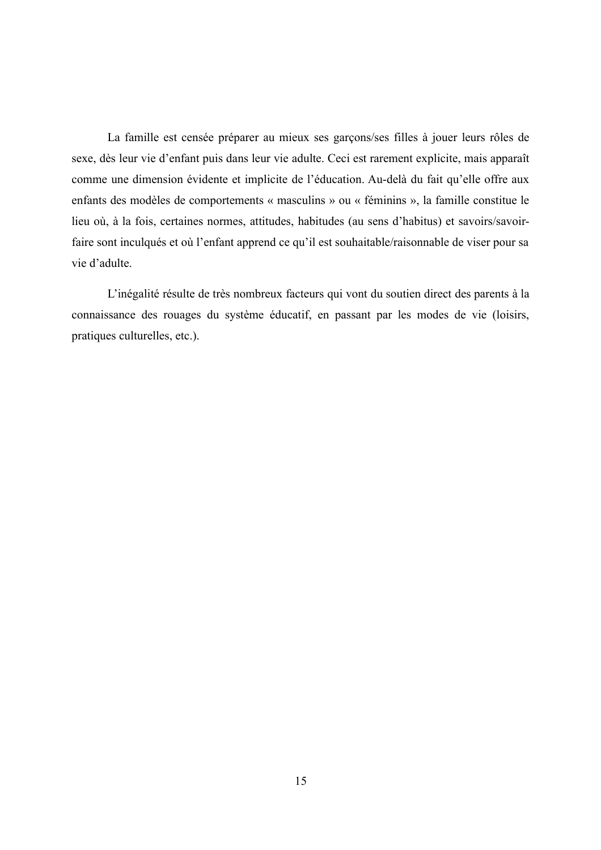La famille est censée préparer au mieux ses garçons/ses filles à jouer leurs rôles de sexe, dès leur vie d'enfant puis dans leur vie adulte. Ceci est rarement explicite, mais apparaît comme une dimension évidente et implicite de l'éducation. Au-delà du fait qu'elle offre aux enfants des modèles de comportements « masculins » ou « féminins », la famille constitue le lieu où, à la fois, certaines normes, attitudes, habitudes (au sens d'habitus) et savoirs/savoirfaire sont inculqués et où l'enfant apprend ce qu'il est souhaitable/raisonnable de viser pour sa vie d'adulte.

L'inégalité résulte de très nombreux facteurs qui vont du soutien direct des parents à la connaissance des rouages du système éducatif, en passant par les modes de vie (loisirs, pratiques culturelles, etc.).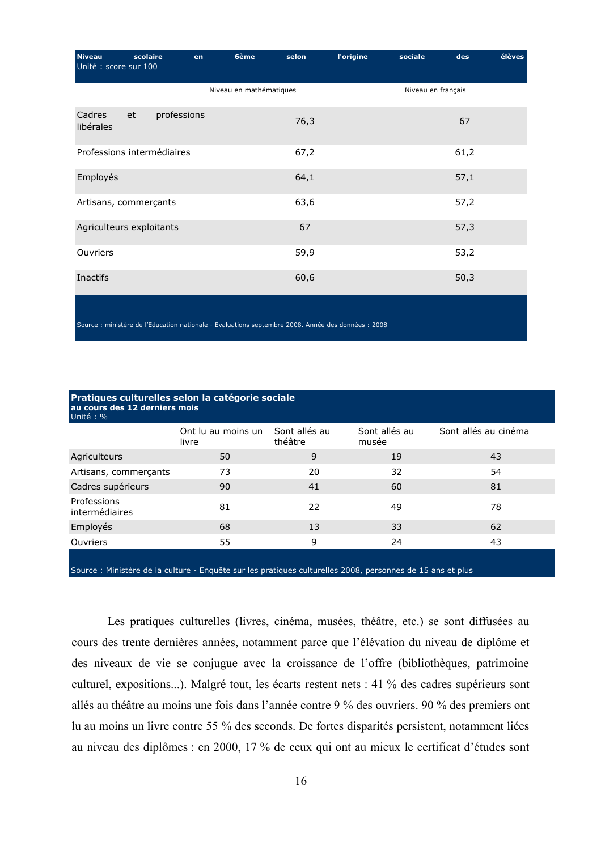| <b>Niveau</b><br>Unité : score sur 100 | scolaire                                                                                           | en | 6ème                    | selon | <b>l'origine</b> | sociale            | des  | élèves |
|----------------------------------------|----------------------------------------------------------------------------------------------------|----|-------------------------|-------|------------------|--------------------|------|--------|
|                                        |                                                                                                    |    | Niveau en mathématiques |       |                  | Niveau en français |      |        |
| Cadres<br>libérales                    | professions<br>et                                                                                  |    |                         | 76,3  |                  |                    | 67   |        |
|                                        | Professions intermédiaires                                                                         |    |                         | 67,2  |                  |                    | 61,2 |        |
| Employés                               |                                                                                                    |    |                         | 64,1  |                  |                    | 57,1 |        |
| Artisans, commerçants                  |                                                                                                    |    |                         | 63,6  |                  |                    | 57,2 |        |
|                                        | Agriculteurs exploitants                                                                           |    |                         | 67    |                  |                    | 57,3 |        |
| <b>Ouvriers</b>                        |                                                                                                    |    |                         | 59,9  |                  |                    | 53,2 |        |
| Inactifs                               |                                                                                                    |    |                         | 60,6  |                  |                    | 50,3 |        |
|                                        | Source : ministère de l'Education nationale - Evaluations septembre 2008. Année des données : 2008 |    |                         |       |                  |                    |      |        |

| Pratiques culturelles selon la catégorie sociale<br>au cours des 12 derniers mois<br>Unité: % |                             |                          |                        |                      |  |  |  |  |  |
|-----------------------------------------------------------------------------------------------|-----------------------------|--------------------------|------------------------|----------------------|--|--|--|--|--|
|                                                                                               | Ont lu au moins un<br>livre | Sont allés au<br>théâtre | Sont allés au<br>musée | Sont allés au cinéma |  |  |  |  |  |
| Agriculteurs                                                                                  | 50                          | 9                        | 19                     | 43                   |  |  |  |  |  |
| Artisans, commerçants                                                                         | 73                          | 20                       | 32                     | 54                   |  |  |  |  |  |
| Cadres supérieurs                                                                             | 90                          | 41                       | 60                     | 81                   |  |  |  |  |  |
| Professions<br>intermédiaires                                                                 | 81                          | 22                       | 49                     | 78                   |  |  |  |  |  |
| Employés                                                                                      | 68                          | 13                       | 33                     | 62                   |  |  |  |  |  |
| Ouvriers                                                                                      | 55                          | 9                        | 24                     | 43                   |  |  |  |  |  |
|                                                                                               |                             |                          |                        |                      |  |  |  |  |  |

Source : Ministère de la culture - Enquête sur les pratiques culturelles 2008, personnes de 15 ans et plus

Les pratiques culturelles (livres, cinéma, musées, théâtre, etc.) se sont diffusées au cours des trente dernières années, notamment parce que l'élévation du niveau de diplôme et des niveaux de vie se conjugue avec la croissance de l'offre (bibliothèques, patrimoine culturel, expositions...). Malgré tout, les écarts restent nets : 41 % des cadres supérieurs sont allés au théâtre au moins une fois dans l'année contre 9 % des ouvriers. 90 % des premiers ont lu au moins un livre contre 55 % des seconds. De fortes disparités persistent, notamment liées au niveau des diplômes : en 2000, 17 % de ceux qui ont au mieux le certificat d'études sont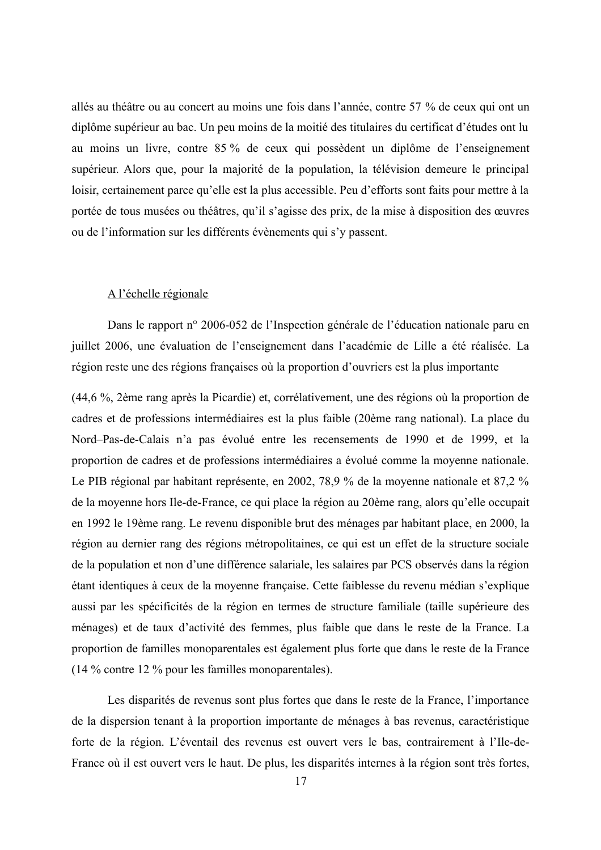allés au théâtre ou au concert au moins une fois dans l'année, contre 57 % de ceux qui ont un diplôme supérieur au bac. Un peu moins de la moitié des titulaires du certificat d'études ont lu au moins un livre, contre 85 % de ceux qui possèdent un diplôme de l'enseignement supérieur. Alors que, pour la majorité de la population, la télévision demeure le principal loisir, certainement parce qu'elle est la plus accessible. Peu d'efforts sont faits pour mettre à la portée de tous musées ou théâtres, qu'il s'agisse des prix, de la mise à disposition des œuvres ou de l'information sur les différents évènements qui s'y passent.

#### A l'échelle régionale

Dans le rapport n° 2006-052 de l'Inspection générale de l'éducation nationale paru en juillet 2006, une évaluation de l'enseignement dans l'académie de Lille a été réalisée. La région reste une des régions françaises où la proportion d'ouvriers est la plus importante

(44,6 %, 2ème rang après la Picardie) et, corrélativement, une des régions où la proportion de cadres et de professions intermédiaires est la plus faible (20ème rang national). La place du Nord-Pas-de-Calais n'a pas évolué entre les recensements de 1990 et de 1999, et la proportion de cadres et de professions intermédiaires a évolué comme la moyenne nationale. Le PIB régional par habitant représente, en 2002, 78,9 % de la moyenne nationale et 87,2 % de la moyenne hors Ile-de-France, ce qui place la région au 20ème rang, alors qu'elle occupait en 1992 le 19ème rang. Le revenu disponible brut des ménages par habitant place, en 2000, la région au dernier rang des régions métropolitaines, ce qui est un effet de la structure sociale de la population et non d'une différence salariale, les salaires par PCS observés dans la région étant identiques à ceux de la moyenne française. Cette faiblesse du revenu médian s'explique aussi par les spécificités de la région en termes de structure familiale (taille supérieure des ménages) et de taux d'activité des femmes, plus faible que dans le reste de la France. La proportion de familles monoparentales est également plus forte que dans le reste de la France  $(14\%$  contre 12 % pour les familles monoparentales).

Les disparités de revenus sont plus fortes que dans le reste de la France, l'importance de la dispersion tenant à la proportion importante de ménages à bas revenus, caractéristique forte de la région. L'éventail des revenus est ouvert vers le bas, contrairement à l'Ile-de-France où il est ouvert vers le haut. De plus, les disparités internes à la région sont très fortes,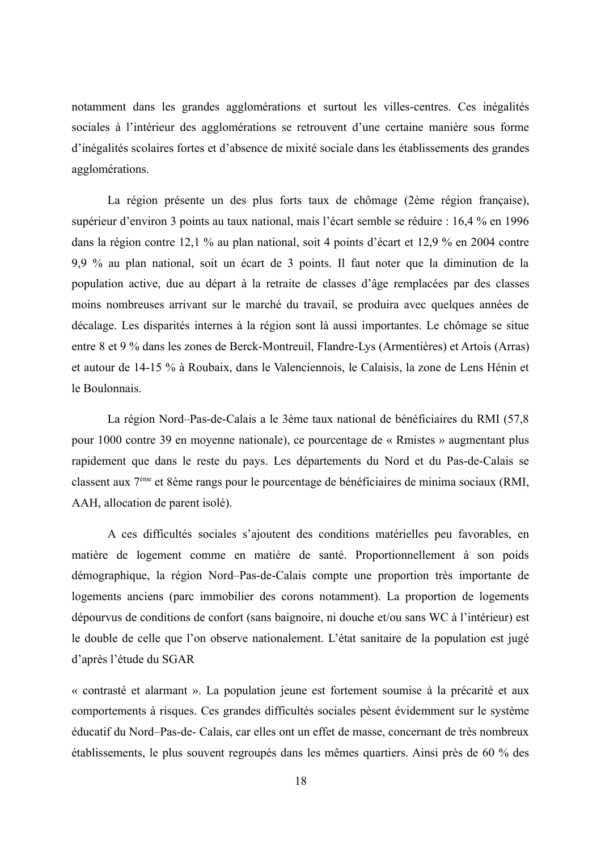notamment dans les grandes agglomérations et surtout les villes-centres. Ces inégalités sociales à l'intérieur des agglomérations se retrouvent d'une certaine manière sous forme d'inégalités scolaires fortes et d'absence de mixité sociale dans les établissements des grandes agglomérations.

La région présente un des plus forts taux de chômage (2ème région française), supérieur d'environ 3 points au taux national, mais l'écart semble se réduire : 16,4 % en 1996 dans la région contre 12,1 % au plan national, soit 4 points d'écart et 12,9 % en 2004 contre 9.9 % au plan national, soit un écart de 3 points. Il faut noter que la diminution de la population active, due au départ à la retraite de classes d'âge remplacées par des classes moins nombreuses arrivant sur le marché du travail, se produira avec quelques années de décalage. Les disparités internes à la région sont là aussi importantes. Le chômage se situe entre 8 et 9 % dans les zones de Berck-Montreuil, Flandre-Lys (Armentières) et Artois (Arras) et autour de 14-15 % à Roubaix, dans le Valenciennois, le Calaisis, la zone de Lens Hénin et le Boulonnais.

La région Nord–Pas-de-Calais a le 3ème taux national de bénéficiaires du RMI (57,8) pour 1000 contre 39 en moyenne nationale), ce pourcentage de « Rmistes » augmentant plus rapidement que dans le reste du pays. Les départements du Nord et du Pas-de-Calais se classent aux 7<sup>ème</sup> et 8ème rangs pour le pourcentage de bénéficiaires de minima sociaux (RMI, AAH, allocation de parent isolé).

A ces difficultés sociales s'ajoutent des conditions matérielles peu favorables, en matière de logement comme en matière de santé. Proportionnellement à son poids démographique, la région Nord-Pas-de-Calais compte une proportion très importante de logements anciens (parc immobilier des corons notamment). La proportion de logements dépourvus de conditions de confort (sans baignoire, ni douche et/ou sans WC à l'intérieur) est le double de celle que l'on observe nationalement. L'état sanitaire de la population est jugé d'après l'étude du SGAR

« contrasté et alarmant ». La population jeune est fortement soumise à la précarité et aux comportements à risques. Ces grandes difficultés sociales pèsent évidemment sur le système éducatif du Nord-Pas-de- Calais, car elles ont un effet de masse, concernant de très nombreux établissements, le plus souvent regroupés dans les mêmes quartiers. Ainsi près de 60 % des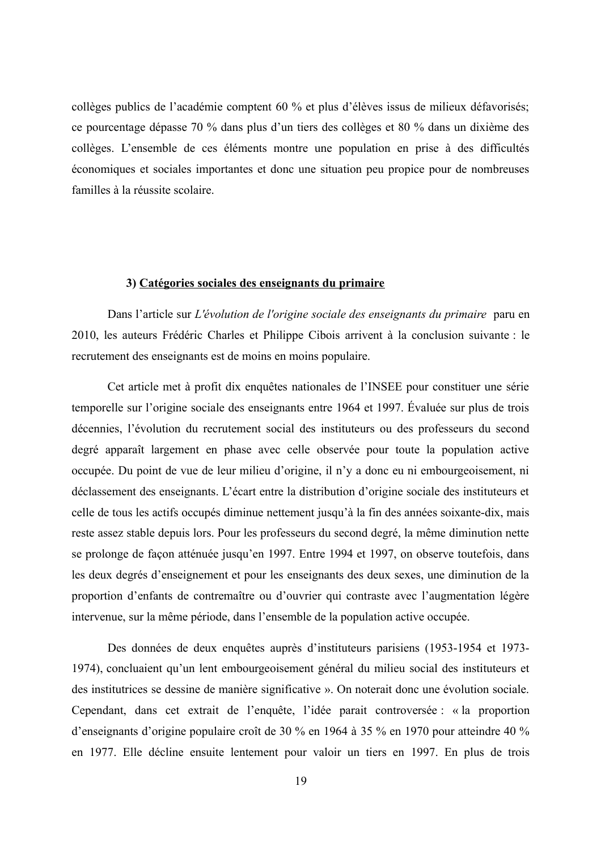collèges publics de l'académie comptent 60 % et plus d'élèves issus de milieux défavorisés; ce pourcentage dépasse 70 % dans plus d'un tiers des collèges et 80 % dans un dixième des collèges. L'ensemble de ces éléments montre une population en prise à des difficultés économiques et sociales importantes et donc une situation peu propice pour de nombreuses familles à la réussite scolaire

#### 3) Catégories sociales des enseignants du primaire

Dans l'article sur L'évolution de l'origine sociale des enseignants du primaire paru en 2010, les auteurs Frédéric Charles et Philippe Cibois arrivent à la conclusion suivante : le recrutement des enseignants est de moins en moins populaire.

Cet article met à profit dix enquêtes nationales de l'INSEE pour constituer une série temporelle sur l'origine sociale des enseignants entre 1964 et 1997. Évaluée sur plus de trois décennies, l'évolution du recrutement social des instituteurs ou des professeurs du second degré apparaît largement en phase avec celle observée pour toute la population active occupée. Du point de vue de leur milieu d'origine, il n'y a donc eu ni embourgeoisement, ni déclassement des enseignants. L'écart entre la distribution d'origine sociale des instituteurs et celle de tous les actifs occupés diminue nettement jusqu'à la fin des années soixante-dix, mais reste assez stable depuis lors. Pour les professeurs du second degré, la même diminution nette se prolonge de façon atténuée jusqu'en 1997. Entre 1994 et 1997, on observe toutefois, dans les deux degrés d'enseignement et pour les enseignants des deux sexes, une diminution de la proportion d'enfants de contremaître ou d'ouvrier qui contraste avec l'augmentation légère intervenue, sur la même période, dans l'ensemble de la population active occupée.

Des données de deux enquêtes auprès d'instituteurs parisiens (1953-1954 et 1973-1974), concluaient qu'un lent embourgeoisement général du milieu social des instituteurs et des institutrices se dessine de manière significative ». On noterait donc une évolution sociale. Cependant, dans cet extrait de l'enquête, l'idée parait controversée : « la proportion d'enseignants d'origine populaire croît de 30 % en 1964 à 35 % en 1970 pour atteindre 40 % en 1977. Elle décline ensuite lentement pour valoir un tiers en 1997. En plus de trois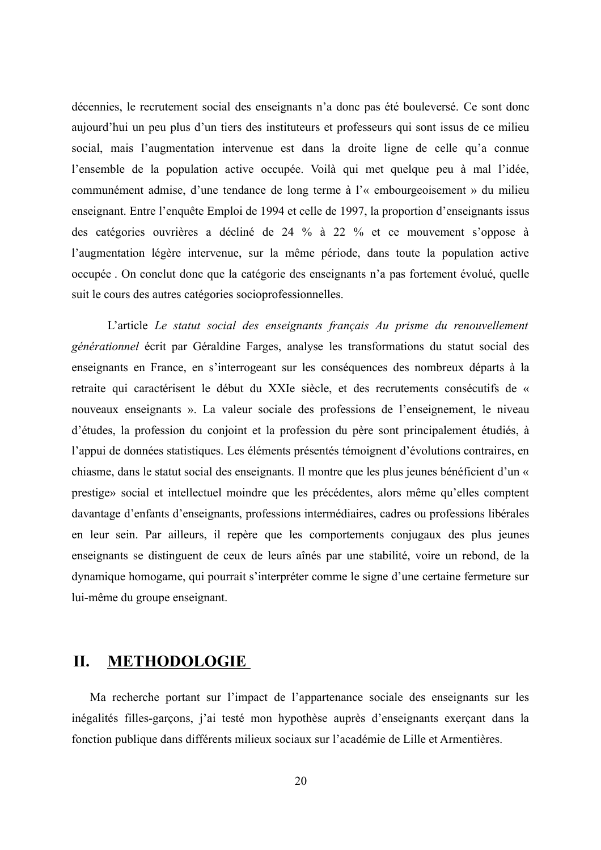décennies, le recrutement social des enseignants n'a donc pas été bouleversé. Ce sont donc aujourd'hui un peu plus d'un tiers des instituteurs et professeurs qui sont issus de ce milieu social, mais l'augmentation intervenue est dans la droite ligne de celle qu'a connue l'ensemble de la population active occupée. Voilà qui met quelque peu à mal l'idée, communément admise, d'une tendance de long terme à l'« embourgeoisement » du milieu enseignant. Entre l'enquête Emploi de 1994 et celle de 1997, la proportion d'enseignants issus des catégories ouvrières a décliné de 24 % à 22 % et ce mouvement s'oppose à l'augmentation légère intervenue, sur la même période, dans toute la population active occupée . On conclut donc que la catégorie des enseignants n'a pas fortement évolué, quelle suit le cours des autres catégories socioprofessionnelles.

L'article Le statut social des enseignants français Au prisme du renouvellement générationnel écrit par Géraldine Farges, analyse les transformations du statut social des enseignants en France, en s'interrogeant sur les conséquences des nombreux départs à la retraite qui caractérisent le début du XXIe siècle, et des recrutements consécutifs de « nouveaux enseignants ». La valeur sociale des professions de l'enseignement, le niveau d'études, la profession du conjoint et la profession du père sont principalement étudiés, à l'appui de données statistiques. Les éléments présentés témoignent d'évolutions contraires, en chiasme, dans le statut social des enseignants. Il montre que les plus jeunes bénéficient d'un « prestige» social et intellectuel moindre que les précédentes, alors même qu'elles comptent davantage d'enfants d'enseignants, professions intermédiaires, cadres ou professions libérales en leur sein. Par ailleurs, il repère que les comportements conjugaux des plus jeunes enseignants se distinguent de ceux de leurs aînés par une stabilité, voire un rebond, de la dynamique homogame, qui pourrait s'interpréter comme le signe d'une certaine fermeture sur lui-même du groupe enseignant.

#### **METHODOLOGIE** Π.

Ma recherche portant sur l'impact de l'appartenance sociale des enseignants sur les inégalités filles-garçons, j'ai testé mon hypothèse auprès d'enseignants exerçant dans la fonction publique dans différents milieux sociaux sur l'académie de Lille et Armentières.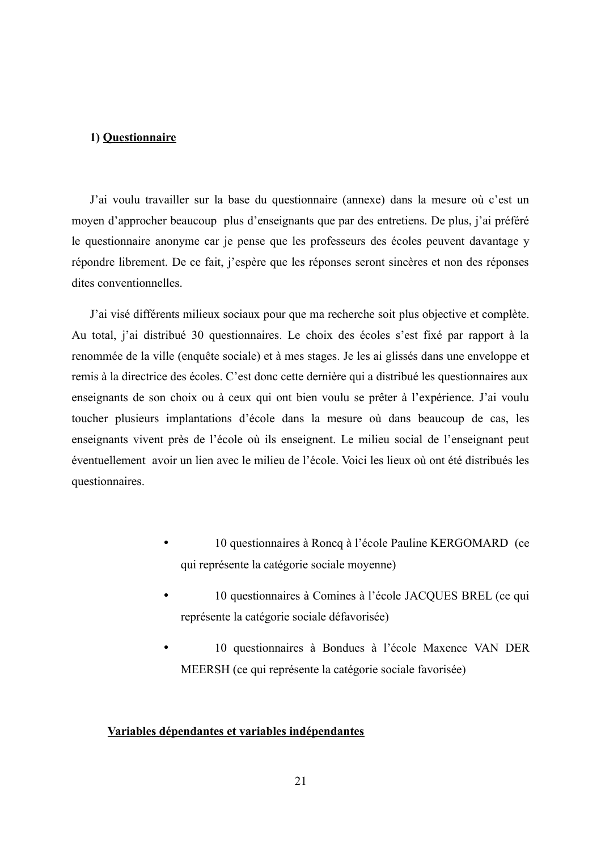#### 1) Questionnaire

J'ai voulu travailler sur la base du questionnaire (annexe) dans la mesure où c'est un moyen d'approcher beaucoup plus d'enseignants que par des entretiens. De plus, j'ai préféré le questionnaire anonyme car je pense que les professeurs des écoles peuvent davantage y répondre librement. De ce fait, j'espère que les réponses seront sincères et non des réponses dites conventionnelles

J'ai visé différents milieux sociaux pour que ma recherche soit plus objective et complète. Au total, j'ai distribué 30 questionnaires. Le choix des écoles s'est fixé par rapport à la renommée de la ville (enquête sociale) et à mes stages. Je les ai glissés dans une enveloppe et remis à la directrice des écoles. C'est donc cette dernière qui a distribué les questionnaires aux enseignants de son choix ou à ceux qui ont bien voulu se prêter à l'expérience. J'ai voulu toucher plusieurs implantations d'école dans la mesure où dans beaucoup de cas, les enseignants vivent près de l'école où ils enseignent. Le milieu social de l'enseignant peut éventuellement avoir un lien avec le milieu de l'école. Voici les lieux où ont été distribués les questionnaires.

- 10 questionnaires à Roncq à l'école Pauline KERGOMARD (ce qui représente la catégorie sociale moyenne)
- 10 questionnaires à Comines à l'école JACQUES BREL (ce qui  $\bullet$ représente la catégorie sociale défavorisée)
- 10 questionnaires à Bondues à l'école Maxence VAN DER  $\bullet$ MEERSH (ce qui représente la catégorie sociale favorisée)

#### Variables dépendantes et variables indépendantes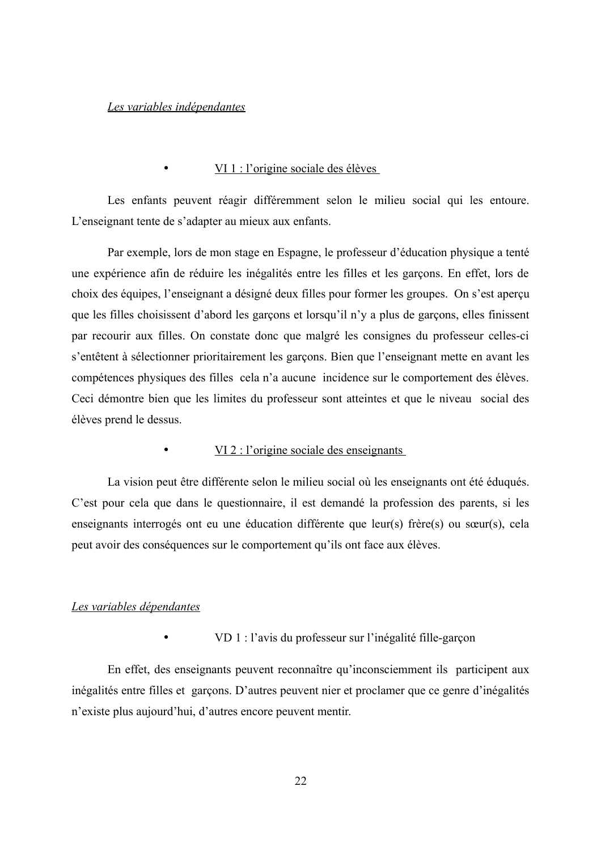#### Les variables indépendantes

 $\bullet$ 

#### $VI 1$ : l'origine sociale des élèves

Les enfants peuvent réagir différemment selon le milieu social qui les entoure. L'enseignant tente de s'adapter au mieux aux enfants.

Par exemple, lors de mon stage en Espagne, le professeur d'éducation physique a tenté une expérience afin de réduire les inégalités entre les filles et les garçons. En effet, lors de choix des équipes, l'enseignant a désigné deux filles pour former les groupes. On s'est aperçu que les filles choisissent d'abord les garçons et lorsqu'il n'y a plus de garçons, elles finissent par recourir aux filles. On constate donc que malgré les consignes du professeur celles-ci s'entêtent à sélectionner prioritairement les garçons. Bien que l'enseignant mette en avant les compétences physiques des filles cela n'a aucune incidence sur le comportement des élèves. Ceci démontre bien que les limites du professeur sont atteintes et que le niveau social des élèves prend le dessus.

 $VI$  2 : l'origine sociale des enseignants

La vision peut être différente selon le milieu social où les enseignants ont été éduqués. C'est pour cela que dans le questionnaire, il est demandé la profession des parents, si les enseignants interrogés ont eu une éducation différente que leur(s) frère(s) ou sœur(s), cela peut avoir des conséquences sur le comportement qu'ils ont face aux élèves.

#### Les variables dépendantes

VD 1 : l'avis du professeur sur l'inégalité fille-garcon

En effet, des enseignants peuvent reconnaître qu'inconsciemment ils participent aux inégalités entre filles et garcons. D'autres peuvent nier et proclamer que ce genre d'inégalités n'existe plus aujourd'hui, d'autres encore peuvent mentir.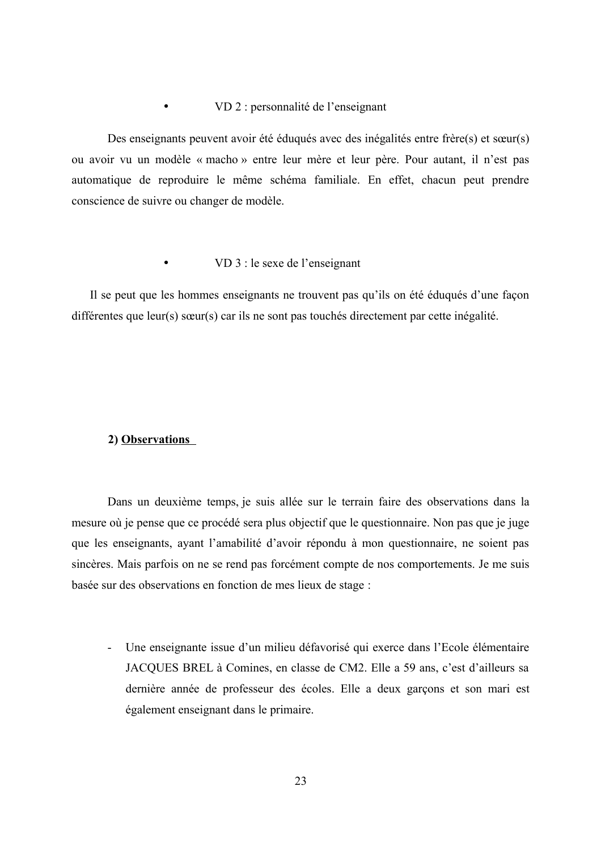#### VD 2 : personnalité de l'enseignant  $\bullet$

Des enseignants peuvent avoir été éduqués avec des inégalités entre frère(s) et sœur(s) ou avoir vu un modèle « macho » entre leur mère et leur père. Pour autant, il n'est pas automatique de reproduire le même schéma familiale. En effet, chacun peut prendre conscience de suivre ou changer de modèle.

#### VD 3 : le sexe de l'enseignant  $\bullet$

Il se peut que les hommes enseignants ne trouvent pas qu'ils on été éduqués d'une façon différentes que leur(s) sœur(s) car ils ne sont pas touchés directement par cette inégalité.

#### 2) Observations

Dans un deuxième temps, je suis allée sur le terrain faire des observations dans la mesure où je pense que ce procédé sera plus objectif que le questionnaire. Non pas que je juge que les enseignants, ayant l'amabilité d'avoir répondu à mon questionnaire, ne soient pas sincères. Mais parfois on ne se rend pas forcément compte de nos comportements. Je me suis basée sur des observations en fonction de mes lieux de stage :

- Une enseignante issue d'un milieu défavorisé qui exerce dans l'Ecole élémentaire JACOUES BREL à Comines, en classe de CM2. Elle a 59 ans, c'est d'ailleurs sa dernière année de professeur des écoles. Elle a deux garçons et son mari est également enseignant dans le primaire.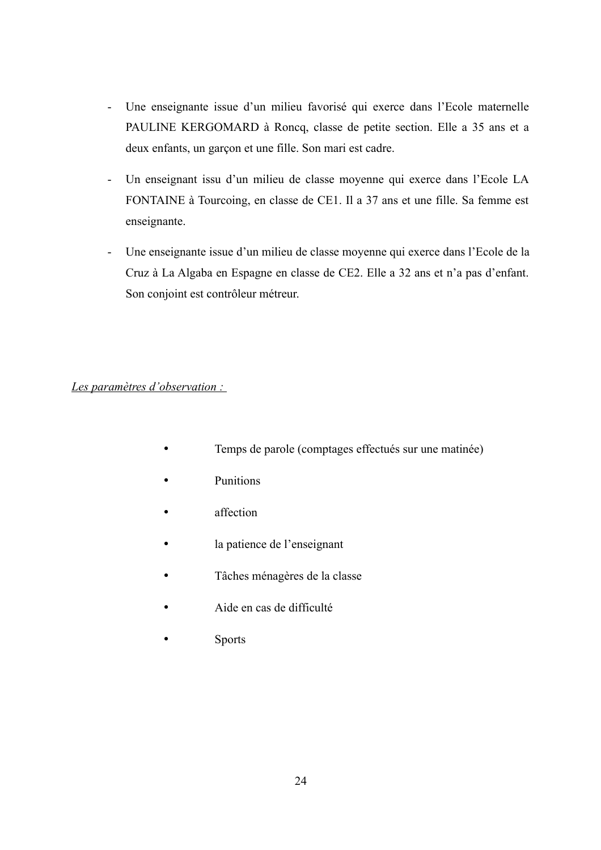- $\omega_{\rm{max}}$ Une enseignante issue d'un milieu favorisé qui exerce dans l'Ecole maternelle PAULINE KERGOMARD à Roncq, classe de petite section. Elle a 35 ans et a deux enfants, un garçon et une fille. Son mari est cadre.
- Un enseignant issu d'un milieu de classe moyenne qui exerce dans l'Ecole LA  $\bar{\mathbb{L}}$ FONTAINE à Tourcoing, en classe de CE1. Il a 37 ans et une fille. Sa femme est enseignante.
- Une enseignante issue d'un milieu de classe moyenne qui exerce dans l'Ecole de la Cruz à La Algaba en Espagne en classe de CE2. Elle a 32 ans et n'a pas d'enfant. Son conjoint est contrôleur métreur.

### Les paramètres d'observation :

- Temps de parole (comptages effectués sur une matinée)  $\bullet$
- **Punitions**
- affection
- la patience de l'enseignant
- Tâches ménagères de la classe
- Aide en cas de difficulté
- **Sports**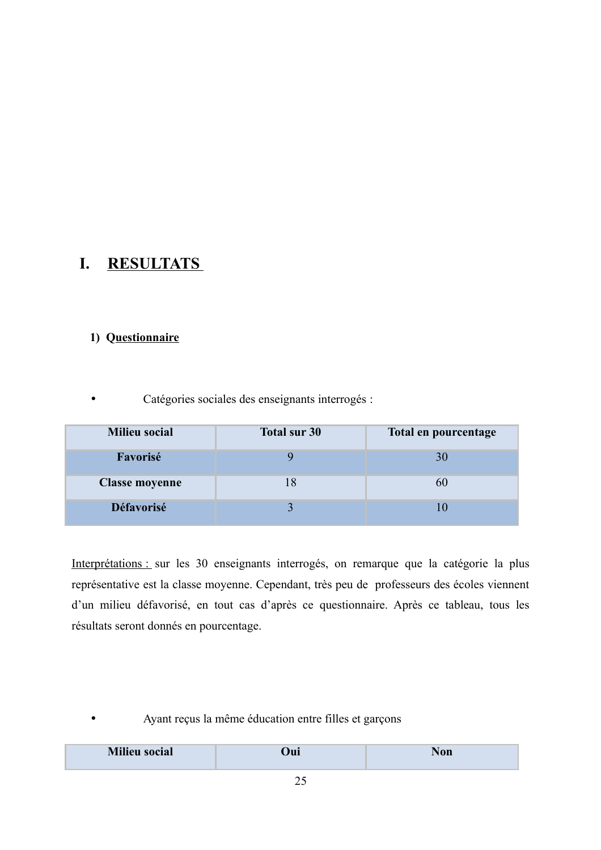#### I. **RESULTATS**

## 1) Questionnaire

Catégories sociales des enseignants interrogés :

| <b>Milieu social</b>  | Total sur 30 | Total en pourcentage |
|-----------------------|--------------|----------------------|
| Favorisé              |              | 30                   |
| <b>Classe moyenne</b> |              | 6U                   |
| <b>Défavorisé</b>     |              |                      |

Interprétations : sur les 30 enseignants interrogés, on remarque que la catégorie la plus représentative est la classe moyenne. Cependant, très peu de professeurs des écoles viennent d'un milieu défavorisé, en tout cas d'après ce questionnaire. Après ce tableau, tous les résultats seront donnés en pourcentage.

### Ayant reçus la même éducation entre filles et garçons

|  | $M!!$ and $SO(2)$<br><b>Milieu</b><br>ocial | <b>Jui</b> |  |
|--|---------------------------------------------|------------|--|
|--|---------------------------------------------|------------|--|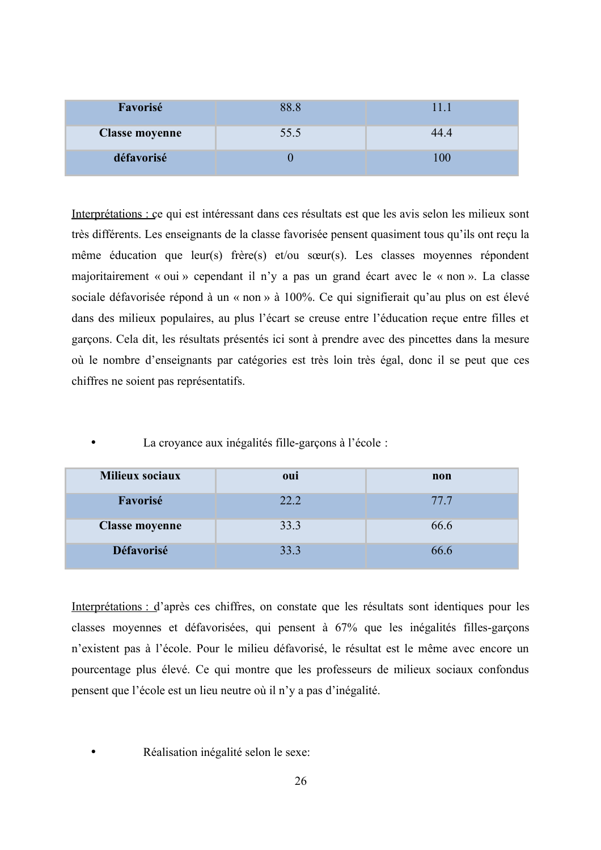| Favorisé              | 88.8 | U.   |
|-----------------------|------|------|
| <b>Classe moyenne</b> | 55.5 | 44.4 |
| défavorisé            |      | 00   |

Interprétations : ce qui est intéressant dans ces résultats est que les avis selon les milieux sont très différents. Les enseignants de la classe favorisée pensent quasiment tous qu'ils ont reçu la même éducation que leur(s) frère(s) et/ou sœur(s). Les classes moyennes répondent majoritairement « oui » cependant il n'y a pas un grand écart avec le « non ». La classe sociale défavorisée répond à un « non » à 100%. Ce qui signifierait qu'au plus on est élevé dans des milieux populaires, au plus l'écart se creuse entre l'éducation reçue entre filles et garçons. Cela dit, les résultats présentés ici sont à prendre avec des pincettes dans la mesure où le nombre d'enseignants par catégories est très loin très égal, donc il se peut que ces chiffres ne soient pas représentatifs.

La croyance aux inégalités fille-garçons à l'école :

| <b>Milieux sociaux</b> | oui  | non  |
|------------------------|------|------|
| Favorisé               | 22.2 | 77.7 |
| <b>Classe moyenne</b>  | 33.3 | 66.6 |
| <b>Défavorisé</b>      | 33.3 | 66.6 |

Interprétations : d'après ces chiffres, on constate que les résultats sont identiques pour les classes moyennes et défavorisées, qui pensent à 67% que les inégalités filles-garçons n'existent pas à l'école. Pour le milieu défavorisé, le résultat est le même avec encore un pourcentage plus élevé. Ce qui montre que les professeurs de milieux sociaux confondus pensent que l'école est un lieu neutre où il n'y a pas d'inégalité.

Réalisation inégalité selon le sexe: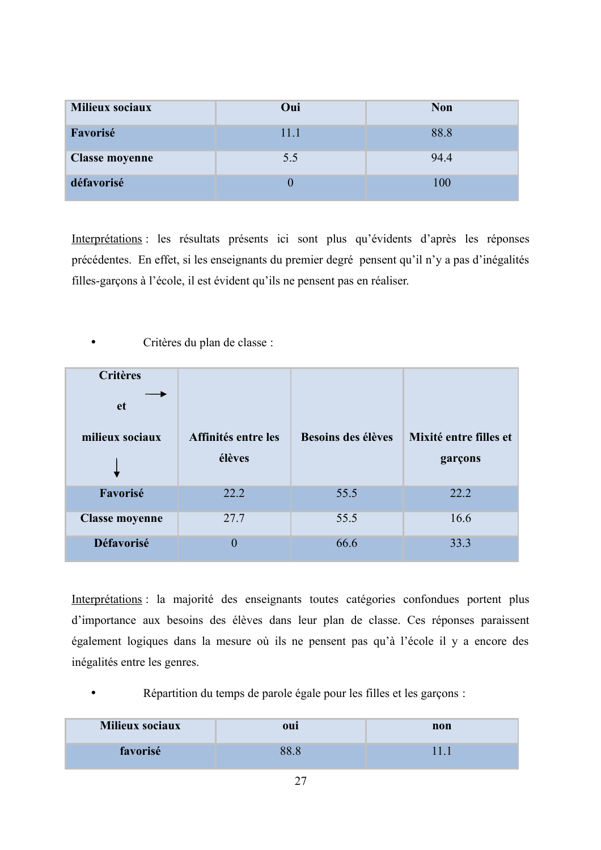| <b>Milieux sociaux</b> | Oui  | <b>Non</b> |
|------------------------|------|------------|
| Favorisé               | 11.1 | 88.8       |
| <b>Classe moyenne</b>  | 5.5  | 94.4       |
| défavorisé             |      | $100\,$    |

Interprétations : les résultats présents ici sont plus qu'évidents d'après les réponses précédentes. En effet, si les enseignants du premier degré pensent qu'il n'y a pas d'inégalités filles-garçons à l'école, il est évident qu'ils ne pensent pas en réaliser.

Critères du plan de classe :

| <b>Critères</b><br><b>et</b><br>milieux sociaux | Affinités entre les<br>élèves | Besoins des élèves | Mixité entre filles et<br>garçons |
|-------------------------------------------------|-------------------------------|--------------------|-----------------------------------|
| Favorisé                                        | 22.2                          | 55.5               | 22.2                              |
| <b>Classe moyenne</b>                           | 27.7                          | 55.5               | 16.6                              |
| Défavorisé                                      | $\theta$                      | 66.6               | 33.3                              |

Interprétations : la majorité des enseignants toutes catégories confondues portent plus d'importance aux besoins des élèves dans leur plan de classe. Ces réponses paraissent également logiques dans la mesure où ils ne pensent pas qu'à l'école il y a encore des inégalités entre les genres.

Répartition du temps de parole égale pour les filles et les garçons :

| Milieux sociaux | oul  | non |
|-----------------|------|-----|
| favorisé        | 88 X |     |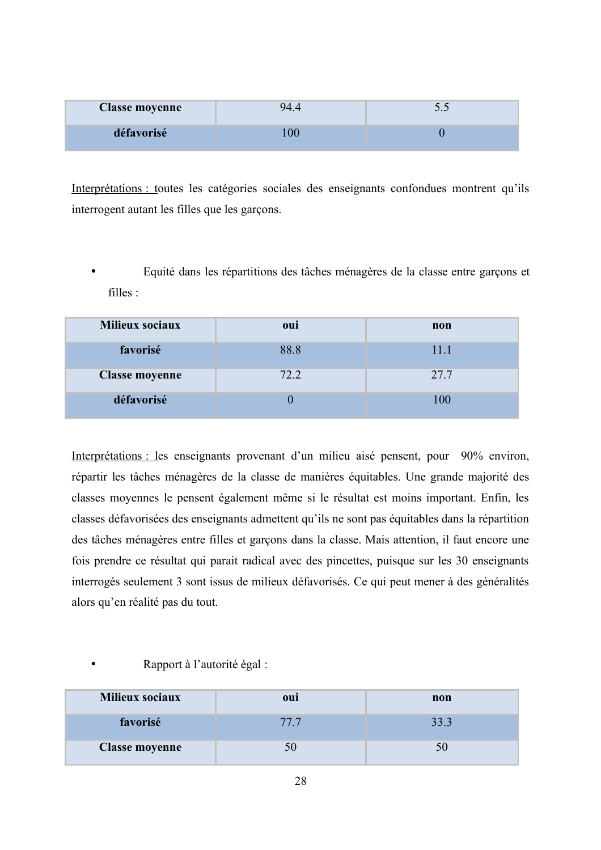| <b>Classe moyenne</b> | 94 | $\sim\cdot\cdot$ |
|-----------------------|----|------------------|
| défavorisé            |    |                  |

Interprétations : toutes les catégories sociales des enseignants confondues montrent qu'ils interrogent autant les filles que les garçons.

Equité dans les répartitions des tâches ménagères de la classe entre garçons et filles :

| Milieux sociaux       | oui  | non  |
|-----------------------|------|------|
| favorisé              | 88.8 | 11.1 |
| <b>Classe moyenne</b> | 72.2 | 27.7 |
| défavorisé            |      | 100  |

Interprétations : les enseignants provenant d'un milieu aisé pensent, pour 90% environ, répartir les tâches ménagères de la classe de manières équitables. Une grande majorité des classes moyennes le pensent également même si le résultat est moins important. Enfin, les classes défavorisées des enseignants admettent qu'ils ne sont pas équitables dans la répartition des tâches ménagères entre filles et garçons dans la classe. Mais attention, il faut encore une fois prendre ce résultat qui parait radical avec des pincettes, puisque sur les 30 enseignants interrogés seulement 3 sont issus de milieux défavorisés. Ce qui peut mener à des généralités alors qu'en réalité pas du tout.

| Milieux sociaux       | oui  | non  |
|-----------------------|------|------|
| favorisé              | 77.7 | 33.3 |
| <b>Classe moyenne</b> |      |      |

#### Rapport à l'autorité égal :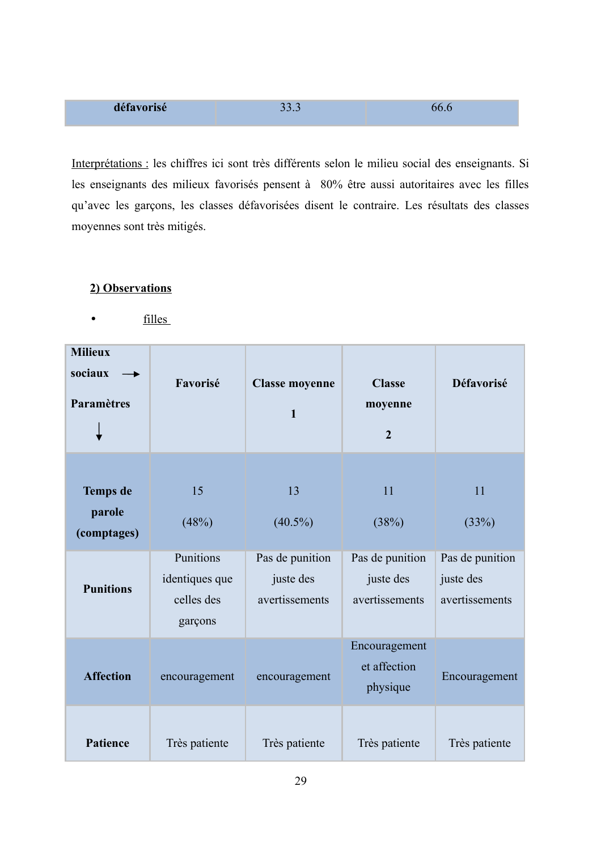| défavorisé | $\sim$ $\sim$<br>11<br>JJ.J | 66.6 |
|------------|-----------------------------|------|
|------------|-----------------------------|------|

Interprétations : les chiffres ici sont très différents selon le milieu social des enseignants. Si les enseignants des milieux favorisés pensent à 80% être aussi autoritaires avec les filles qu'avec les garçons, les classes défavorisées disent le contraire. Les résultats des classes moyennes sont très mitigés.

## 2) Observations

filles  $\bullet$ 

| <b>Milieux</b><br>sociaux<br>Paramètres  | Favorisé                                             | <b>Classe moyenne</b><br>$\mathbf{1}$          | <b>Classe</b><br>moyenne<br>$\overline{2}$     | Défavorisé                                     |
|------------------------------------------|------------------------------------------------------|------------------------------------------------|------------------------------------------------|------------------------------------------------|
| <b>Temps</b> de<br>parole<br>(comptages) | 15<br>(48%)                                          | 13<br>$(40.5\%)$                               | 11<br>(38%)                                    | 11<br>(33%)                                    |
| <b>Punitions</b>                         | Punitions<br>identiques que<br>celles des<br>garçons | Pas de punition<br>juste des<br>avertissements | Pas de punition<br>juste des<br>avertissements | Pas de punition<br>juste des<br>avertissements |
| <b>Affection</b>                         | encouragement                                        | encouragement                                  | Encouragement<br>et affection<br>physique      | Encouragement                                  |
| Patience                                 | Très patiente                                        | Très patiente                                  | Très patiente                                  | Très patiente                                  |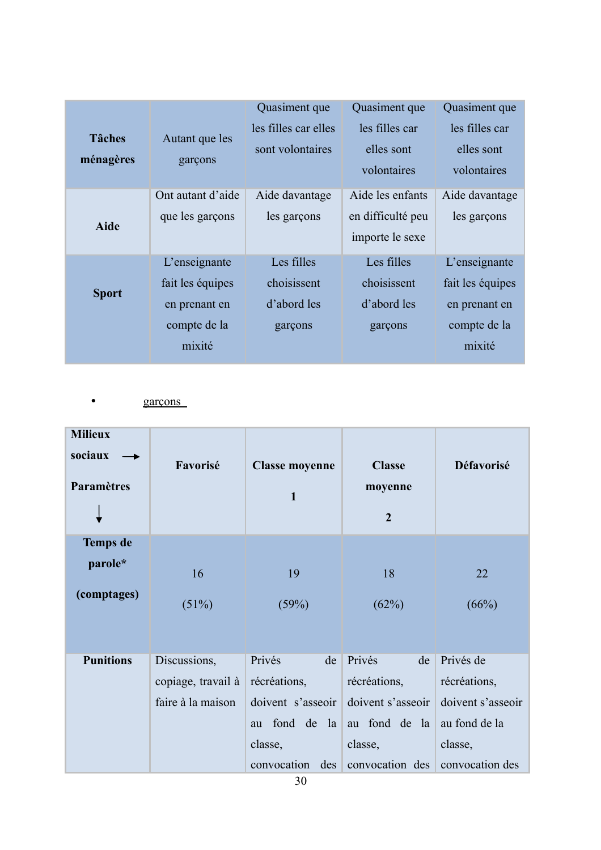|               |                   | Quasiment que        | Quasiment que     | Quasiment que    |
|---------------|-------------------|----------------------|-------------------|------------------|
|               |                   | les filles car elles | les filles car    | les filles car   |
| <b>Tâches</b> | Autant que les    | sont volontaires     | elles sont        | elles sont       |
| ménagères     | garçons           |                      | volontaires       | volontaires      |
|               | Ont autant d'aide | Aide davantage       | Aide les enfants  | Aide davantage   |
| <b>Aide</b>   | que les garçons   | les garçons          | en difficulté peu | les garçons      |
|               |                   |                      | importe le sexe   |                  |
|               | L'enseignante     | Les filles           | Les filles        | L'enseignante    |
|               | fait les équipes  | choisissent          | choisissent       | fait les équipes |
| <b>Sport</b>  | en prenant en     | d'abord les          | d'abord les       | en prenant en    |
|               | compte de la      | garçons              | garçons           | compte de la     |
|               | mixité            |                      |                   | mixité           |

garçons  $\bullet$ 

| <b>Milieux</b><br>sociaux<br><b>Paramètres</b> | Favorisé           | <b>Classe moyenne</b><br>$\mathbf{1}$   | <b>Classe</b><br>moyenne<br>$\overline{2}$ | Défavorisé        |
|------------------------------------------------|--------------------|-----------------------------------------|--------------------------------------------|-------------------|
| <b>Temps</b> de                                |                    |                                         |                                            |                   |
| parole*                                        | 16                 | 19                                      | 18                                         | 22                |
| (comptages)                                    | (51%)              | (59%)                                   | (62%)                                      | (66%)             |
|                                                |                    |                                         |                                            |                   |
| <b>Punitions</b>                               | Discussions,       | Privés<br>de                            | Privés<br>de                               | Privés de         |
|                                                | copiage, travail à | récréations,                            | récréations,                               | récréations,      |
|                                                | faire à la maison  | doivent s'asseoir                       | doivent s'asseoir                          | doivent s'asseoir |
|                                                |                    | au fond de la                           | au fond de la                              | au fond de la     |
|                                                |                    | classe,                                 | classe,                                    | classe,           |
|                                                |                    | convocation<br>$\text{des}$<br>$\gamma$ | convocation des                            | convocation des   |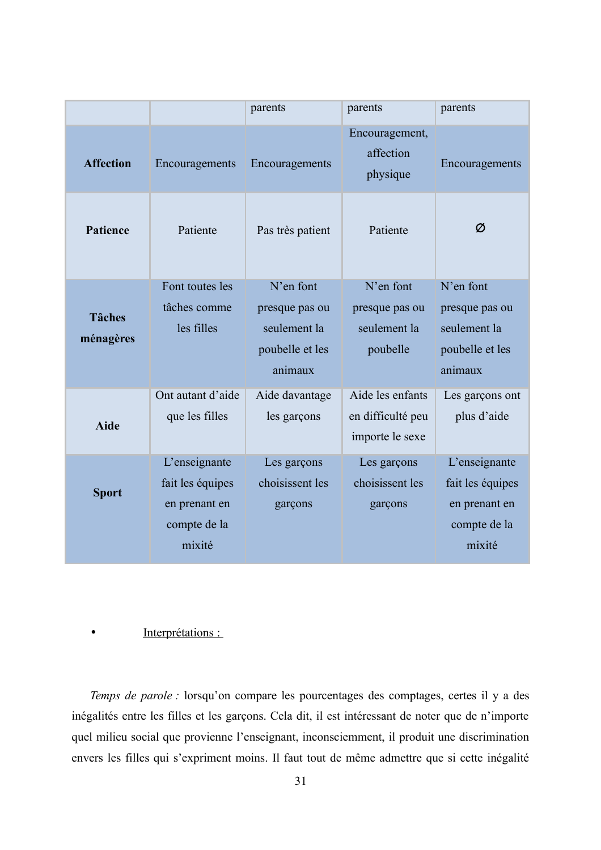|                            |                                                                              | parents                                                                   | parents                                                  | parents                                                                      |
|----------------------------|------------------------------------------------------------------------------|---------------------------------------------------------------------------|----------------------------------------------------------|------------------------------------------------------------------------------|
| <b>Affection</b>           | Encouragements                                                               | Encouragements                                                            | Encouragement,<br>affection<br>physique                  | Encouragements                                                               |
| <b>Patience</b>            | Patiente                                                                     | Pas très patient                                                          | Patiente                                                 | Ø                                                                            |
| <b>Tâches</b><br>ménagères | Font toutes les<br>tâches comme<br>les filles                                | N'en font<br>presque pas ou<br>seulement la<br>poubelle et les<br>animaux | N'en font<br>presque pas ou<br>seulement la<br>poubelle  | N'en font<br>presque pas ou<br>seulement la<br>poubelle et les<br>animaux    |
| <b>Aide</b>                | Ont autant d'aide<br>que les filles                                          | Aide davantage<br>les garçons                                             | Aide les enfants<br>en difficulté peu<br>importe le sexe | Les garçons ont<br>plus d'aide                                               |
| <b>Sport</b>               | L'enseignante<br>fait les équipes<br>en prenant en<br>compte de la<br>mixité | Les garçons<br>choisissent les<br>garçons                                 | Les garçons<br>choisissent les<br>garçons                | L'enseignante<br>fait les équipes<br>en prenant en<br>compte de la<br>mixité |

#### Interprétations :  $\bullet$

Temps de parole : lorsqu'on compare les pourcentages des comptages, certes il y a des inégalités entre les filles et les garçons. Cela dit, il est intéressant de noter que de n'importe quel milieu social que provienne l'enseignant, inconsciemment, il produit une discrimination envers les filles qui s'expriment moins. Il faut tout de même admettre que si cette inégalité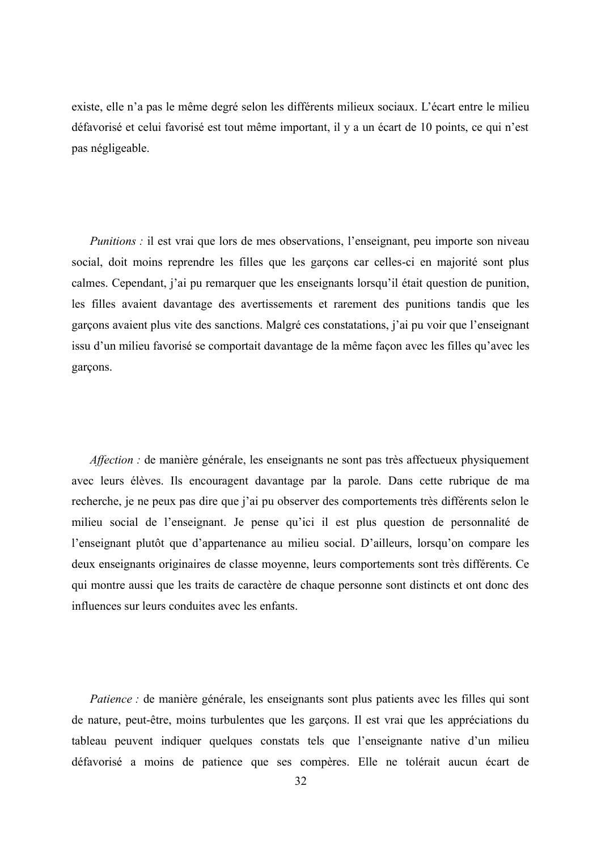existe, elle n'a pas le même degré selon les différents milieux sociaux. L'écart entre le milieu défavorisé et celui favorisé est tout même important, il y a un écart de 10 points, ce qui n'est pas négligeable.

*Punitions*: il est vrai que lors de mes observations, l'enseignant, peu importe son niveau social, doit moins reprendre les filles que les garçons car celles-ci en majorité sont plus calmes. Cependant, i'ai pu remarquer que les enseignants lorsqu'il était question de punition. les filles avaient davantage des avertissements et rarement des punitions tandis que les garçons avaient plus vite des sanctions. Malgré ces constatations, j'ai pu voir que l'enseignant issu d'un milieu favorisé se comportait davantage de la même façon avec les filles qu'avec les garçons.

*Affection*: de manière générale, les enseignants ne sont pas très affectueux physiquement avec leurs élèves. Ils encouragent davantage par la parole. Dans cette rubrique de ma recherche, je ne peux pas dire que j'ai pu observer des comportements très différents selon le milieu social de l'enseignant. Je pense qu'ici il est plus question de personnalité de l'enseignant plutôt que d'appartenance au milieu social. D'ailleurs, lorsqu'on compare les deux enseignants originaires de classe moyenne, leurs comportements sont très différents. Ce qui montre aussi que les traits de caractère de chaque personne sont distincts et ont donc des influences sur leurs conduites avec les enfants.

Patience : de manière générale, les enseignants sont plus patients avec les filles qui sont de nature, peut-être, moins turbulentes que les garçons. Il est vrai que les appréciations du tableau peuvent indiquer quelques constats tels que l'enseignante native d'un milieu défavorisé a moins de patience que ses compères. Elle ne tolérait aucun écart de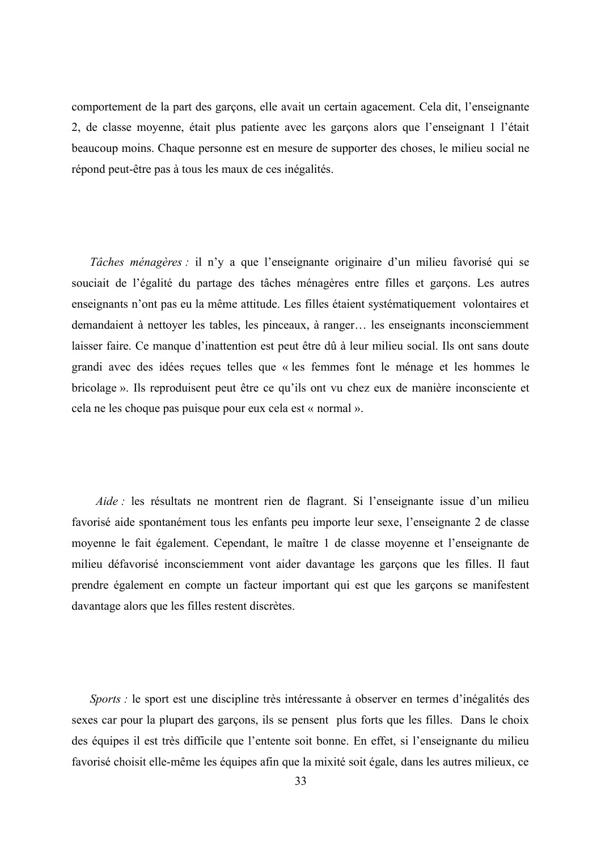comportement de la part des garçons, elle avait un certain agacement. Cela dit, l'enseignante 2, de classe moyenne, était plus patiente avec les garçons alors que l'enseignant 1 l'était beaucoup moins. Chaque personne est en mesure de supporter des choses, le milieu social ne répond peut-être pas à tous les maux de ces inégalités.

*Tâches ménagères* : il n'y a que l'enseignante originaire d'un milieu favorisé qui se souciait de l'égalité du partage des tâches ménagères entre filles et garcons. Les autres enseignants n'ont pas eu la même attitude. Les filles étaient systématiquement volontaires et demandaient à nettoyer les tables, les pinceaux, à ranger... les enseignants inconsciemment laisser faire. Ce manque d'inattention est peut être dû à leur milieu social. Ils ont sans doute grandi avec des idées reçues telles que « les femmes font le ménage et les hommes le bricolage». Ils reproduisent peut être ce qu'ils ont vu chez eux de manière inconsciente et cela ne les choque pas puisque pour eux cela est « normal ».

Aide : les résultats ne montrent rien de flagrant. Si l'enseignante issue d'un milieu favorisé aide spontanément tous les enfants peu importe leur sexe, l'enseignante 2 de classe moyenne le fait également. Cependant, le maître 1 de classe moyenne et l'enseignante de milieu défavorisé inconsciemment vont aider davantage les garcons que les filles. Il faut prendre également en compte un facteur important qui est que les garçons se manifestent davantage alors que les filles restent discrètes.

Sports : le sport est une discipline très intéressante à observer en termes d'inégalités des sexes car pour la plupart des garçons, ils se pensent plus forts que les filles. Dans le choix des équipes il est très difficile que l'entente soit bonne. En effet, si l'enseignante du milieu favorisé choisit elle-même les équipes afin que la mixité soit égale, dans les autres milieux, ce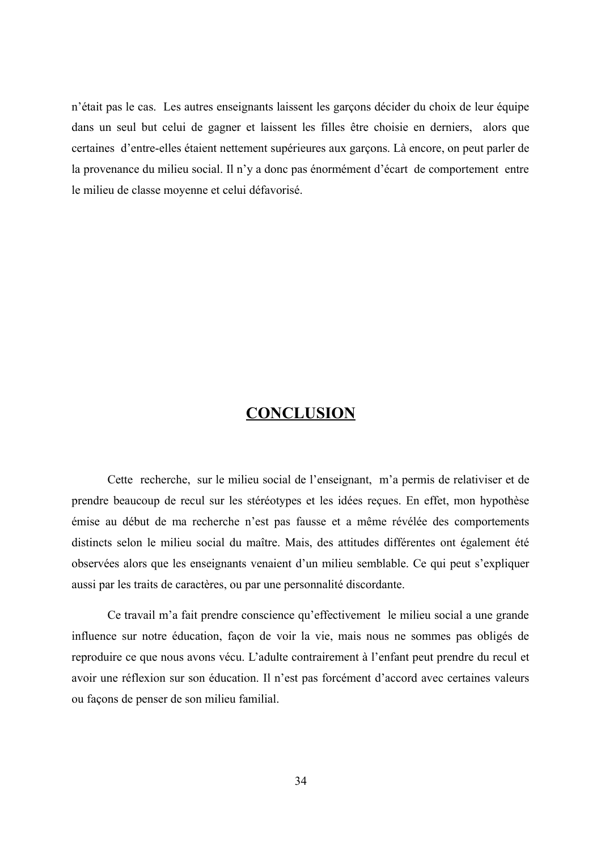n'était pas le cas. Les autres enseignants laissent les garçons décider du choix de leur équipe dans un seul but celui de gagner et laissent les filles être choisie en derniers, alors que certaines d'entre-elles étaient nettement supérieures aux garçons. Là encore, on peut parler de la provenance du milieu social. Il n'y a donc pas énormément d'écart de comportement entre le milieu de classe moyenne et celui défavorisé.

## **CONCLUSION**

Cette recherche, sur le milieu social de l'enseignant, m'a permis de relativiser et de prendre beaucoup de recul sur les stéréotypes et les idées reçues. En effet, mon hypothèse émise au début de ma recherche n'est pas fausse et a même révélée des comportements distincts selon le milieu social du maître. Mais, des attitudes différentes ont également été observées alors que les enseignants venaient d'un milieu semblable. Ce qui peut s'expliquer aussi par les traits de caractères, ou par une personnalité discordante.

Ce travail m'a fait prendre conscience qu'effectivement le milieu social a une grande influence sur notre éducation, façon de voir la vie, mais nous ne sommes pas obligés de reproduire ce que nous avons vécu. L'adulte contrairement à l'enfant peut prendre du recul et avoir une réflexion sur son éducation. Il n'est pas forcément d'accord avec certaines valeurs ou façons de penser de son milieu familial.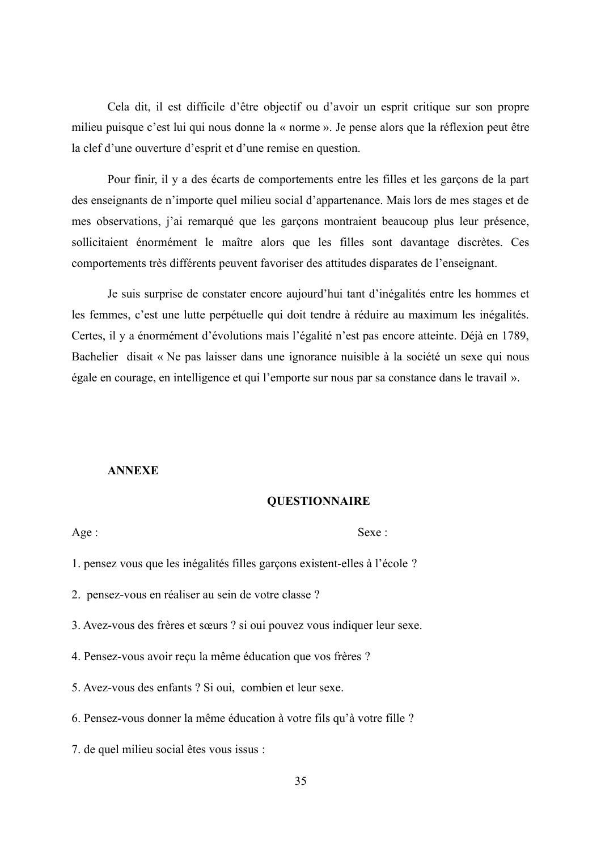Cela dit, il est difficile d'être objectif ou d'avoir un esprit critique sur son propre milieu puisque c'est lui qui nous donne la « norme ». Je pense alors que la réflexion peut être la clef d'une ouverture d'esprit et d'une remise en question.

Pour finir, il y a des écarts de comportements entre les filles et les garçons de la part des enseignants de n'importe quel milieu social d'appartenance. Mais lors de mes stages et de mes observations, j'ai remarqué que les garçons montraient beaucoup plus leur présence, sollicitaient énormément le maître alors que les filles sont davantage discrètes. Ces comportements très différents peuvent favoriser des attitudes disparates de l'enseignant.

Je suis surprise de constater encore aujourd'hui tant d'inégalités entre les hommes et les femmes, c'est une lutte perpétuelle qui doit tendre à réduire au maximum les inégalités. Certes, il y a énormément d'évolutions mais l'égalité n'est pas encore atteinte. Déjà en 1789, Bachelier disait « Ne pas laisser dans une ignorance nuisible à la société un sexe qui nous égale en courage, en intelligence et qui l'emporte sur nous par sa constance dans le travail ».

#### **ANNEXE**

#### **QUESTIONNAIRE**

Age:

 $Sexe:$ 

1. pensez vous que les inégalités filles garçons existent-elles à l'école ?

2. pensez-vous en réaliser au sein de votre classe ?

3. Avez-vous des frères et sœurs ? si oui pouvez vous indiquer leur sexe.

4. Pensez-vous avoir reçu la même éducation que vos frères ?

5. Avez-vous des enfants ? Si oui, combien et leur sexe.

6. Pensez-vous donner la même éducation à votre fils qu'à votre fille ?

7. de quel milieu social êtes vous issus :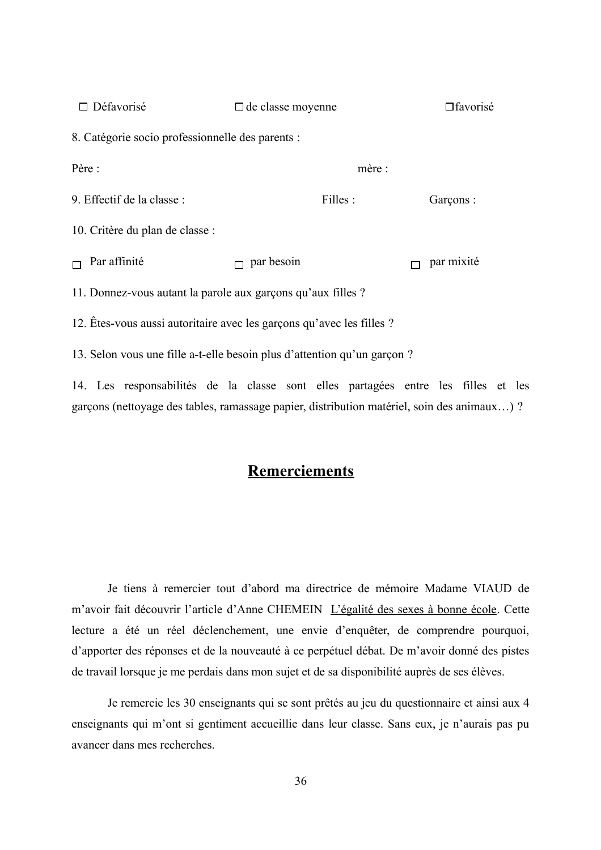| $\Box$ Défavorisé                                            | $\Box$ de classe moyenne                                                 | $\Box$ favorisé |
|--------------------------------------------------------------|--------------------------------------------------------------------------|-----------------|
| 8. Catégorie socio professionnelle des parents :             |                                                                          |                 |
| Père :                                                       | mère :                                                                   |                 |
| 9. Effectif de la classe :                                   | Filles :                                                                 | Garçons :       |
| 10. Critère du plan de classe :                              |                                                                          |                 |
| Par affinité                                                 | par besoin                                                               | par mixité      |
| 11. Donnez-vous autant la parole aux garçons qu'aux filles ? |                                                                          |                 |
|                                                              | 12. Êtes-vous aussi autoritaire avec les garçons qu'avec les filles ?    |                 |
|                                                              | 13. Selon vous une fille a-t-elle besoin plus d'attention qu'un garçon ? |                 |
|                                                              | $14$ I is accurated that in the close and alleg academic in the Client   |                 |

14. Les responsabilités de la classe sont elles partagées entre les filles et les garçons (nettoyage des tables, ramassage papier, distribution matériel, soin des animaux...)?

## **Remerciements**

Je tiens à remercier tout d'abord ma directrice de mémoire Madame VIAUD de m'avoir fait découvrir l'article d'Anne CHEMEIN L'égalité des sexes à bonne école. Cette lecture a été un réel déclenchement, une envie d'enquêter, de comprendre pourquoi, d'apporter des réponses et de la nouveauté à ce perpétuel débat. De m'avoir donné des pistes de travail lorsque je me perdais dans mon sujet et de sa disponibilité auprès de ses élèves.

Je remercie les 30 enseignants qui se sont prêtés au jeu du questionnaire et ainsi aux 4 enseignants qui m'ont si gentiment accueillie dans leur classe. Sans eux, je n'aurais pas pu avancer dans mes recherches.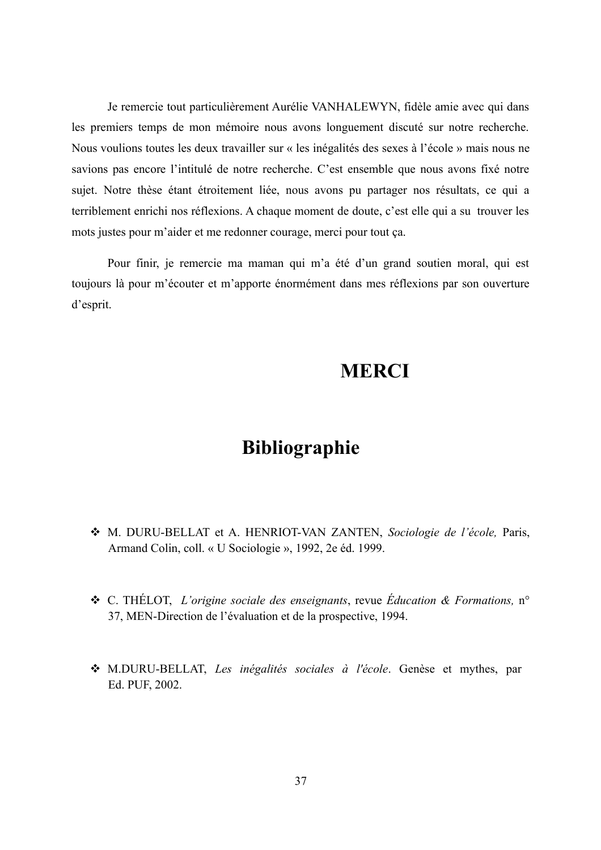Je remercie tout particulièrement Aurélie VANHALEWYN, fidèle amie avec qui dans les premiers temps de mon mémoire nous avons longuement discuté sur notre recherche. Nous voulions toutes les deux travailler sur « les inégalités des sexes à l'école » mais nous ne savions pas encore l'intitulé de notre recherche. C'est ensemble que nous avons fixé notre sujet. Notre thèse étant étroitement liée, nous avons pu partager nos résultats, ce qui a terriblement enrichi nos réflexions. A chaque moment de doute, c'est elle qui a su trouver les mots justes pour m'aider et me redonner courage, merci pour tout ça.

Pour finir, je remercie ma maman qui m'a été d'un grand soutien moral, qui est toujours là pour m'écouter et m'apporte énormément dans mes réflexions par son ouverture d'esprit.

# **MERCI**

# Bibliographie

- M. DURU-BELLAT et A. HENRIOT-VAN ZANTEN, Sociologie de l'école, Paris, Armand Colin, coll. « U Sociologie », 1992, 2e éd. 1999.
- **❖** C. THÉLOT, *L'origine sociale des enseignants*, revue *Éducation & Formations*, n° 37, MEN-Direction de l'évaluation et de la prospective, 1994.
- M.DURU-BELLAT, Les inégalités sociales à l'école. Genèse et mythes, par Ed. PUF, 2002.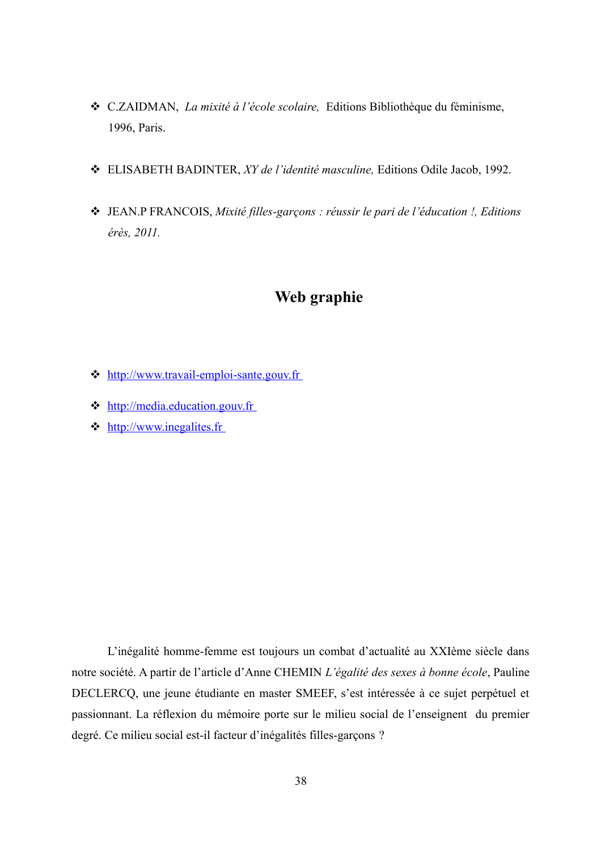- ❖ C.ZAIDMAN, La mixité à l'école scolaire, Editions Bibliothèque du féminisme, 1996, Paris.
- ❖ ELISABETH BADINTER, XY de l'identité masculine, Editions Odile Jacob, 1992.
- ❖ JEAN.P FRANCOIS, Mixité filles-garçons : réussir le pari de l'éducation !, Editions érès, 2011.

## Web graphie

- ☆ http://www.travail-emploi-sante.gouv.fr
- $\triangleleft$  http://media.education.gouv.fr
- $\triangleleft$  http://www.inegalites.fr

L'inégalité homme-femme est toujours un combat d'actualité au XXIème siècle dans notre société. A partir de l'article d'Anne CHEMIN L'égalité des sexes à bonne école, Pauline DECLERCQ, une jeune étudiante en master SMEEF, s'est intéressée à ce sujet perpétuel et passionnant. La réflexion du mémoire porte sur le milieu social de l'enseignent du premier degré. Ce milieu social est-il facteur d'inégalités filles-garçons ?